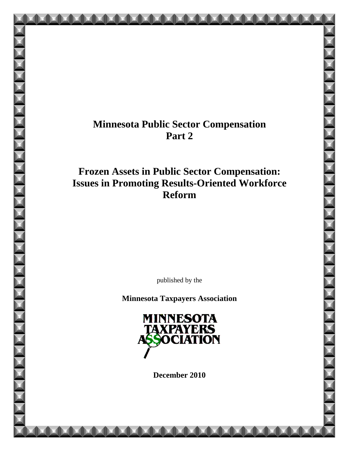# **Minnesota Public Sector Compensation Part 2**

# **Frozen Assets in Public Sector Compensation: Issues in Promoting Results-Oriented Workforce Reform**

published by the

**Minnesota Taxpayers Association** 



**December 2010**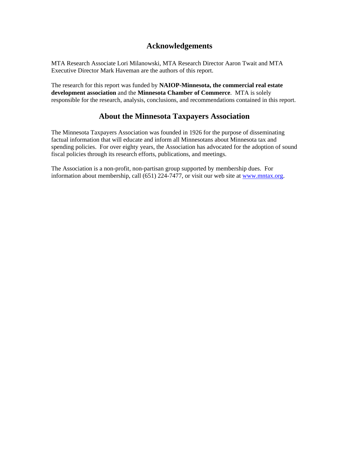# **Acknowledgements**

MTA Research Associate Lori Milanowski, MTA Research Director Aaron Twait and MTA Executive Director Mark Haveman are the authors of this report.

The research for this report was funded by **NAIOP-Minnesota, the commercial real estate development association** and the **Minnesota Chamber of Commerce**. MTA is solely responsible for the research, analysis, conclusions, and recommendations contained in this report.

# **About the Minnesota Taxpayers Association**

The Minnesota Taxpayers Association was founded in 1926 for the purpose of disseminating factual information that will educate and inform all Minnesotans about Minnesota tax and spending policies. For over eighty years, the Association has advocated for the adoption of sound fiscal policies through its research efforts, publications, and meetings.

The Association is a non-profit, non-partisan group supported by membership dues. For information about membership, call (651) 224-7477, or visit our web site at www.mntax.org.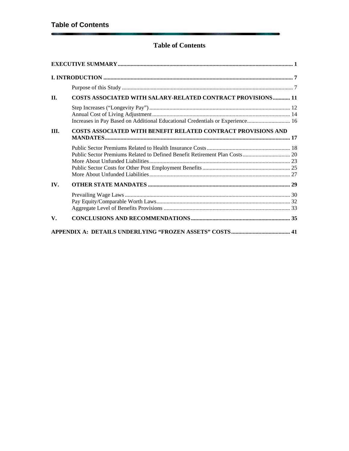# **Table of Contents**

and the contract of the Marine of

| II.            | <b>COSTS ASSOCIATED WITH SALARY-RELATED CONTRACT PROVISIONS 11</b>            |  |
|----------------|-------------------------------------------------------------------------------|--|
|                | Increases in Pay Based on Additional Educational Credentials or Experience 16 |  |
| III.           | COSTS ASSOCIATED WITH BENEFIT RELATED CONTRACT PROVISIONS AND                 |  |
|                |                                                                               |  |
| IV.            |                                                                               |  |
|                |                                                                               |  |
| $\mathbf{V}$ . |                                                                               |  |
|                |                                                                               |  |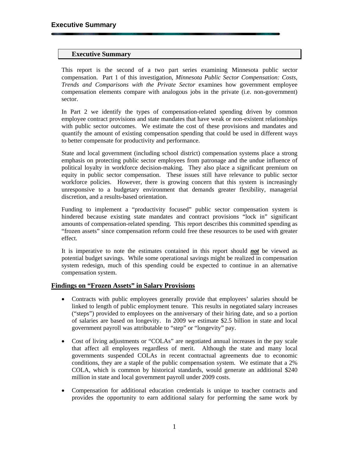#### **Executive Summary**

This report is the second of a two part series examining Minnesota public sector compensation. Part 1 of this investigation, *Minnesota Public Sector Compensation: Costs, Trends and Comparisons with the Private Sector* examines how government employee compensation elements compare with analogous jobs in the private (i.e. non-government) sector.

In Part 2 we identify the types of compensation-related spending driven by common employee contract provisions and state mandates that have weak or non-existent relationships with public sector outcomes. We estimate the cost of these provisions and mandates and quantify the amount of existing compensation spending that could be used in different ways to better compensate for productivity and performance.

State and local government (including school district) compensation systems place a strong emphasis on protecting public sector employees from patronage and the undue influence of political loyalty in workforce decision-making. They also place a significant premium on equity in public sector compensation. These issues still have relevance to public sector workforce policies. However, there is growing concern that this system is increasingly unresponsive to a budgetary environment that demands greater flexibility, managerial discretion, and a results-based orientation.

Funding to implement a "productivity focused" public sector compensation system is hindered because existing state mandates and contract provisions "lock in" significant amounts of compensation-related spending. This report describes this committed spending as "frozen assets" since compensation reform could free these resources to be used with greater effect.

It is imperative to note the estimates contained in this report should *not* be viewed as potential budget savings. While some operational savings might be realized in compensation system redesign, much of this spending could be expected to continue in an alternative compensation system.

#### **Findings on "Frozen Assets" in Salary Provisions**

- Contracts with public employees generally provide that employees' salaries should be linked to length of public employment tenure. This results in negotiated salary increases ("steps") provided to employees on the anniversary of their hiring date, and so a portion of salaries are based on longevity. In 2009 we estimate \$2.5 billion in state and local government payroll was attributable to "step" or "longevity" pay.
- Cost of living adjustments or "COLAs" are negotiated annual increases in the pay scale that affect all employees regardless of merit. Although the state and many local governments suspended COLAs in recent contractual agreements due to economic conditions, they are a staple of the public compensation system. We estimate that a 2% COLA, which is common by historical standards, would generate an additional \$240 million in state and local government payroll under 2009 costs.
- Compensation for additional education credentials is unique to teacher contracts and provides the opportunity to earn additional salary for performing the same work by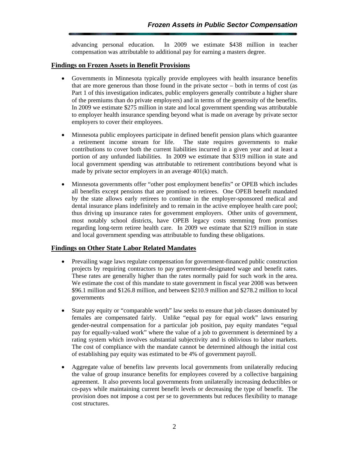advancing personal education. In 2009 we estimate \$438 million in teacher compensation was attributable to additional pay for earning a masters degree.

## **Findings on Frozen Assets in Benefit Provisions**

- Governments in Minnesota typically provide employees with health insurance benefits that are more generous than those found in the private sector – both in terms of cost (as Part 1 of this investigation indicates, public employers generally contribute a higher share of the premiums than do private employers) and in terms of the generosity of the benefits. In 2009 we estimate \$275 million in state and local government spending was attributable to employer health insurance spending beyond what is made on average by private sector employers to cover their employees.
- Minnesota public employees participate in defined benefit pension plans which guarantee a retirement income stream for life. The state requires governments to make contributions to cover both the current liabilities incurred in a given year and at least a portion of any unfunded liabilities. In 2009 we estimate that \$319 million in state and local government spending was attributable to retirement contributions beyond what is made by private sector employers in an average 401(k) match.
- Minnesota governments offer "other post employment benefits" or OPEB which includes all benefits except pensions that are promised to retirees. One OPEB benefit mandated by the state allows early retirees to continue in the employer-sponsored medical and dental insurance plans indefinitely and to remain in the active employee health care pool; thus driving up insurance rates for government employers. Other units of government, most notably school districts, have OPEB legacy costs stemming from promises regarding long-term retiree health care. In 2009 we estimate that \$219 million in state and local government spending was attributable to funding these obligations.

# **Findings on Other State Labor Related Mandates**

- Prevailing wage laws regulate compensation for government-financed public construction projects by requiring contractors to pay government-designated wage and benefit rates. These rates are generally higher than the rates normally paid for such work in the area. We estimate the cost of this mandate to state government in fiscal year 2008 was between \$96.1 million and \$126.8 million, and between \$210.9 million and \$278.2 million to local governments
- State pay equity or "comparable worth" law seeks to ensure that job classes dominated by females are compensated fairly. Unlike "equal pay for equal work" laws ensuring gender-neutral compensation for a particular job position, pay equity mandates "equal pay for equally-valued work" where the value of a job to government is determined by a rating system which involves substantial subjectivity and is oblivious to labor markets. The cost of compliance with the mandate cannot be determined although the initial cost of establishing pay equity was estimated to be 4% of government payroll.
- Aggregate value of benefits law prevents local governments from unilaterally reducing the value of group insurance benefits for employees covered by a collective bargaining agreement. It also prevents local governments from unilaterally increasing deductibles or co-pays while maintaining current benefit levels or decreasing the type of benefit. The provision does not impose a cost per se to governments but reduces flexibility to manage cost structures.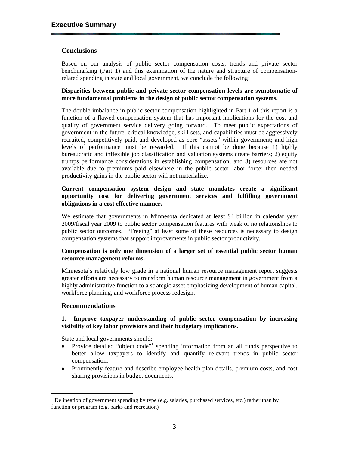# **Conclusions**

Based on our analysis of public sector compensation costs, trends and private sector benchmarking (Part 1) and this examination of the nature and structure of compensationrelated spending in state and local government, we conclude the following:

#### **Disparities between public and private sector compensation levels are symptomatic of more fundamental problems in the design of public sector compensation systems.**

The double imbalance in public sector compensation highlighted in Part 1 of this report is a function of a flawed compensation system that has important implications for the cost and quality of government service delivery going forward. To meet public expectations of government in the future, critical knowledge, skill sets, and capabilities must be aggressively recruited, competitively paid, and developed as core "assets" within government; and high levels of performance must be rewarded. If this cannot be done because 1) highly bureaucratic and inflexible job classification and valuation systems create barriers; 2) equity trumps performance considerations in establishing compensation; and 3) resources are not available due to premiums paid elsewhere in the public sector labor force; then needed productivity gains in the public sector will not materialize.

# **Current compensation system design and state mandates create a significant opportunity cost for delivering government services and fulfilling government obligations in a cost effective manner.**

We estimate that governments in Minnesota dedicated at least \$4 billion in calendar year 2009/fiscal year 2009 to public sector compensation features with weak or no relationships to public sector outcomes. "Freeing" at least some of these resources is necessary to design compensation systems that support improvements in public sector productivity.

## **Compensation is only one dimension of a larger set of essential public sector human resource management reforms.**

Minnesota's relatively low grade in a national human resource management report suggests greater efforts are necessary to transform human resource management in government from a highly administrative function to a strategic asset emphasizing development of human capital, workforce planning, and workforce process redesign.

#### **Recommendations**

 $\overline{a}$ 

#### **1. Improve taxpayer understanding of public sector compensation by increasing visibility of key labor provisions and their budgetary implications.**

State and local governments should:

- Provide detailed "object code"<sup>1</sup> spending information from an all funds perspective to better allow taxpayers to identify and quantify relevant trends in public sector compensation.
- Prominently feature and describe employee health plan details, premium costs, and cost sharing provisions in budget documents.

<sup>&</sup>lt;sup>1</sup> Delineation of government spending by type (e.g. salaries, purchased services, etc.) rather than by function or program (e.g. parks and recreation)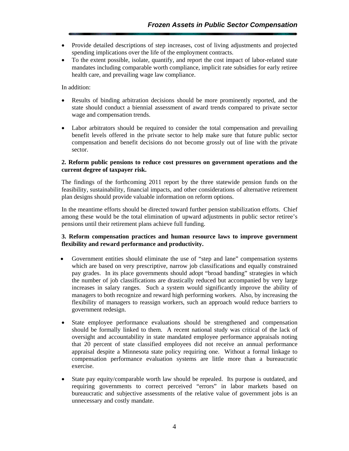- Provide detailed descriptions of step increases, cost of living adjustments and projected spending implications over the life of the employment contracts.
- To the extent possible, isolate, quantify, and report the cost impact of labor-related state mandates including comparable worth compliance, implicit rate subsidies for early retiree health care, and prevailing wage law compliance.

In addition:

- Results of binding arbitration decisions should be more prominently reported, and the state should conduct a biennial assessment of award trends compared to private sector wage and compensation trends.
- Labor arbitrators should be required to consider the total compensation and prevailing benefit levels offered in the private sector to help make sure that future public sector compensation and benefit decisions do not become grossly out of line with the private sector.

#### **2. Reform public pensions to reduce cost pressures on government operations and the current degree of taxpayer risk.**

The findings of the forthcoming 2011 report by the three statewide pension funds on the feasibility, sustainability, financial impacts, and other considerations of alternative retirement plan designs should provide valuable information on reform options.

In the meantime efforts should be directed toward further pension stabilization efforts. Chief among these would be the total elimination of upward adjustments in public sector retiree's pensions until their retirement plans achieve full funding.

#### **3. Reform compensation practices and human resource laws to improve government flexibility and reward performance and productivity.**

- Government entities should eliminate the use of "step and lane" compensation systems which are based on very prescriptive, narrow job classifications and equally constrained pay grades. In its place governments should adopt "broad banding" strategies in which the number of job classifications are drastically reduced but accompanied by very large increases in salary ranges. Such a system would significantly improve the ability of managers to both recognize and reward high performing workers. Also, by increasing the flexibility of managers to reassign workers, such an approach would reduce barriers to government redesign.
- State employee performance evaluations should be strengthened and compensation should be formally linked to them. A recent national study was critical of the lack of oversight and accountability in state mandated employee performance appraisals noting that 20 percent of state classified employees did not receive an annual performance appraisal despite a Minnesota state policy requiring one. Without a formal linkage to compensation performance evaluation systems are little more than a bureaucratic exercise.
- State pay equity/comparable worth law should be repealed. Its purpose is outdated, and requiring governments to correct perceived "errors" in labor markets based on bureaucratic and subjective assessments of the relative value of government jobs is an unnecessary and costly mandate.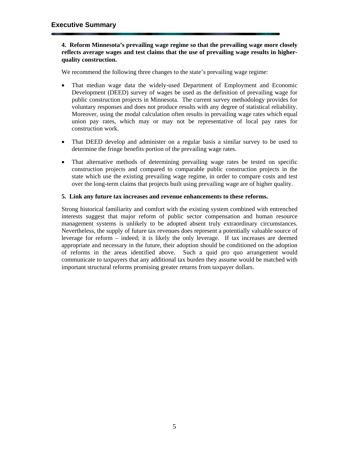#### **4. Reform Minnesota's prevailing wage regime so that the prevailing wage more closely reflects average wages and test claims that the use of prevailing wage results in higherquality construction.**

We recommend the following three changes to the state's prevailing wage regime:

- That median wage data the widely-used Department of Employment and Economic Development (DEED) survey of wages be used as the definition of prevailing wage for public construction projects in Minnesota. The current survey methodology provides for voluntary responses and does not produce results with any degree of statistical reliability. Moreover, using the modal calculation often results in prevailing wage rates which equal union pay rates, which may or may not be representative of local pay rates for construction work.
- That DEED develop and administer on a regular basis a similar survey to be used to determine the fringe benefits portion of the prevailing wage rates.
- That alternative methods of determining prevailing wage rates be tested on specific construction projects and compared to comparable public construction projects in the state which use the existing prevailing wage regime, in order to compare costs and test over the long-term claims that projects built using prevailing wage are of higher quality.

#### **5. Link any future tax increases and revenue enhancements to these reforms.**

Strong historical familiarity and comfort with the existing system combined with entrenched interests suggest that major reform of public sector compensation and human resource management systems is unlikely to be adopted absent truly extraordinary circumstances. Nevertheless, the supply of future tax revenues does represent a potentially valuable source of leverage for reform – indeed; it is likely the only leverage. If tax increases are deemed appropriate and necessary in the future, their adoption should be conditioned on the adoption of reforms in the areas identified above. Such a quid pro quo arrangement would communicate to taxpayers that any additional tax burden they assume would be matched with important structural reforms promising greater returns from taxpayer dollars.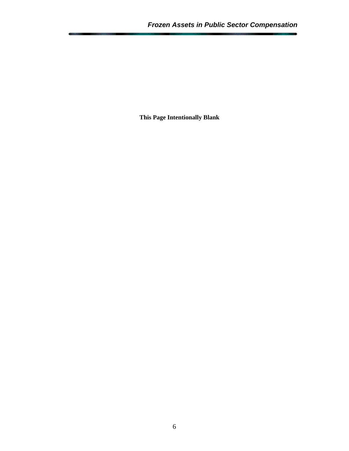**This Page Intentionally Blank**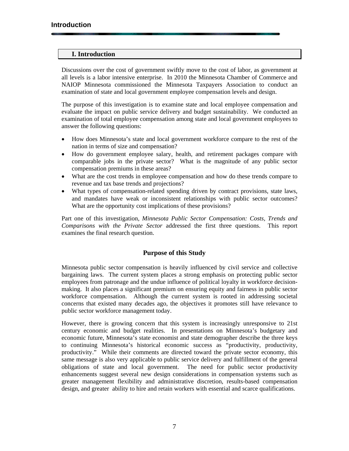#### **I. Introduction**

Discussions over the cost of government swiftly move to the cost of labor, as government at all levels is a labor intensive enterprise. In 2010 the Minnesota Chamber of Commerce and NAIOP Minnesota commissioned the Minnesota Taxpayers Association to conduct an examination of state and local government employee compensation levels and design.

The purpose of this investigation is to examine state and local employee compensation and evaluate the impact on public service delivery and budget sustainability. We conducted an examination of total employee compensation among state and local government employees to answer the following questions:

- How does Minnesota's state and local government workforce compare to the rest of the nation in terms of size and compensation?
- How do government employee salary, health, and retirement packages compare with comparable jobs in the private sector? What is the magnitude of any public sector compensation premiums in these areas?
- What are the cost trends in employee compensation and how do these trends compare to revenue and tax base trends and projections?
- What types of compensation-related spending driven by contract provisions, state laws, and mandates have weak or inconsistent relationships with public sector outcomes? What are the opportunity cost implications of these provisions?

Part one of this investigation, *Minnesota Public Sector Compensation: Costs, Trends and Comparisons with the Private Sector* addressed the first three questions. This report examines the final research question.

# **Purpose of this Study**

Minnesota public sector compensation is heavily influenced by civil service and collective bargaining laws. The current system places a strong emphasis on protecting public sector employees from patronage and the undue influence of political loyalty in workforce decisionmaking. It also places a significant premium on ensuring equity and fairness in public sector workforce compensation. Although the current system is rooted in addressing societal concerns that existed many decades ago, the objectives it promotes still have relevance to public sector workforce management today.

However, there is growing concern that this system is increasingly unresponsive to 21st century economic and budget realities. In presentations on Minnesota's budgetary and economic future, Minnesota's state economist and state demographer describe the three keys to continuing Minnesota's historical economic success as "productivity, productivity, productivity." While their comments are directed toward the private sector economy, this same message is also very applicable to public service delivery and fulfillment of the general obligations of state and local government. The need for public sector productivity enhancements suggest several new design considerations in compensation systems such as greater management flexibility and administrative discretion, results-based compensation design, and greater ability to hire and retain workers with essential and scarce qualifications.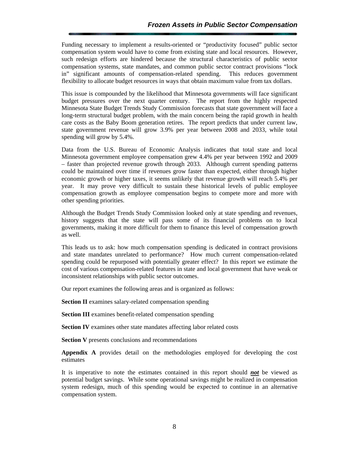Funding necessary to implement a results-oriented or "productivity focused" public sector compensation system would have to come from existing state and local resources. However, such redesign efforts are hindered because the structural characteristics of public sector compensation systems, state mandates, and common public sector contract provisions "lock in" significant amounts of compensation-related spending. This reduces government flexibility to allocate budget resources in ways that obtain maximum value from tax dollars.

This issue is compounded by the likelihood that Minnesota governments will face significant budget pressures over the next quarter century. The report from the highly respected Minnesota State Budget Trends Study Commission forecasts that state government will face a long-term structural budget problem, with the main concern being the rapid growth in health care costs as the Baby Boom generation retires. The report predicts that under current law, state government revenue will grow 3.9% per year between 2008 and 2033, while total spending will grow by 5.4%.

Data from the U.S. Bureau of Economic Analysis indicates that total state and local Minnesota government employee compensation grew 4.4% per year between 1992 and 2009 – faster than projected revenue growth through 2033. Although current spending patterns could be maintained over time if revenues grow faster than expected, either through higher economic growth or higher taxes, it seems unlikely that revenue growth will reach 5.4% per year. It may prove very difficult to sustain these historical levels of public employee compensation growth as employee compensation begins to compete more and more with other spending priorities.

Although the Budget Trends Study Commission looked only at state spending and revenues, history suggests that the state will pass some of its financial problems on to local governments, making it more difficult for them to finance this level of compensation growth as well.

This leads us to ask: how much compensation spending is dedicated in contract provisions and state mandates unrelated to performance? How much current compensation-related spending could be repurposed with potentially greater effect? In this report we estimate the cost of various compensation-related features in state and local government that have weak or inconsistent relationships with public sector outcomes.

Our report examines the following areas and is organized as follows:

**Section II** examines salary-related compensation spending

**Section III** examines benefit-related compensation spending

**Section IV** examines other state mandates affecting labor related costs

**Section V** presents conclusions and recommendations

**Appendix A** provides detail on the methodologies employed for developing the cost estimates

It is imperative to note the estimates contained in this report should *not* be viewed as potential budget savings. While some operational savings might be realized in compensation system redesign, much of this spending would be expected to continue in an alternative compensation system.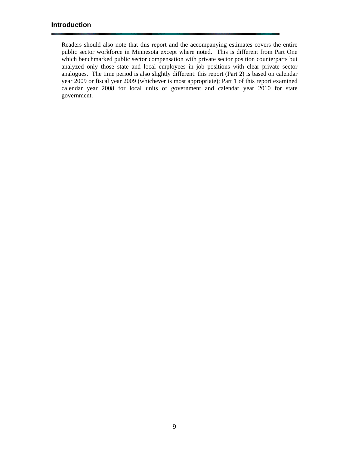Readers should also note that this report and the accompanying estimates covers the entire public sector workforce in Minnesota except where noted. This is different from Part One which benchmarked public sector compensation with private sector position counterparts but analyzed only those state and local employees in job positions with clear private sector analogues. The time period is also slightly different: this report (Part 2) is based on calendar year 2009 or fiscal year 2009 (whichever is most appropriate); Part 1 of this report examined calendar year 2008 for local units of government and calendar year 2010 for state government.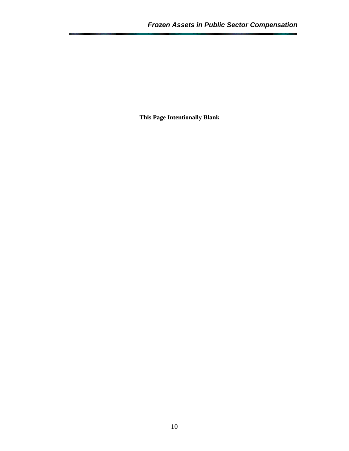**This Page Intentionally Blank**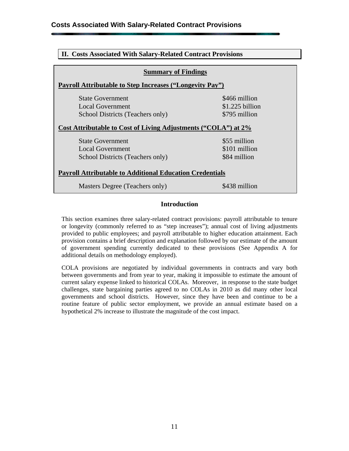# **Costs Associated With Salary-Related Contract Provisions**

| II. Costs Associated With Salary-Related Contract Provisions                                                                                                                                                   |               |  |  |  |  |
|----------------------------------------------------------------------------------------------------------------------------------------------------------------------------------------------------------------|---------------|--|--|--|--|
| <b>Summary of Findings</b><br><b>Payroll Attributable to Step Increases ("Longevity Pay")</b>                                                                                                                  |               |  |  |  |  |
| <b>State Government</b><br>\$466 million<br>$$1.225$ billion<br><b>Local Government</b><br>\$795 million<br>School Districts (Teachers only)<br>Cost Attributable to Cost of Living Adjustments ("COLA") at 2% |               |  |  |  |  |
| <b>State Government</b><br>\$55 million<br><b>Local Government</b><br>\$101 million<br>\$84 million<br>School Districts (Teachers only)<br><b>Payroll Attributable to Additional Education Credentials</b>     |               |  |  |  |  |
| Masters Degree (Teachers only)                                                                                                                                                                                 | \$438 million |  |  |  |  |

# **Introduction**

This section examines three salary-related contract provisions: payroll attributable to tenure or longevity (commonly referred to as "step increases"); annual cost of living adjustments provided to public employees; and payroll attributable to higher education attainment. Each provision contains a brief description and explanation followed by our estimate of the amount of government spending currently dedicated to these provisions (See Appendix A for additional details on methodology employed).

COLA provisions are negotiated by individual governments in contracts and vary both between governments and from year to year, making it impossible to estimate the amount of current salary expense linked to historical COLAs. Moreover, in response to the state budget challenges, state bargaining parties agreed to no COLAs in 2010 as did many other local governments and school districts. However, since they have been and continue to be a routine feature of public sector employment, we provide an annual estimate based on a hypothetical 2% increase to illustrate the magnitude of the cost impact.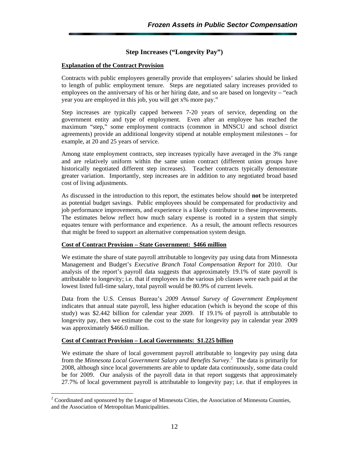# **Step Increases ("Longevity Pay")**

# **Explanation of the Contract Provision**

Contracts with public employees generally provide that employees' salaries should be linked to length of public employment tenure. Steps are negotiated salary increases provided to employees on the anniversary of his or her hiring date, and so are based on longevity – "each year you are employed in this job, you will get x% more pay."

Step increases are typically capped between 7-20 years of service, depending on the government entity and type of employment. Even after an employee has reached the maximum "step," some employment contracts (common in MNSCU and school district agreements) provide an additional longevity stipend at notable employment milestones – for example, at 20 and 25 years of service.

Among state employment contracts, step increases typically have averaged in the 3% range and are relatively uniform within the same union contract (different union groups have historically negotiated different step increases). Teacher contracts typically demonstrate greater variation. Importantly, step increases are in addition to any negotiated broad based cost of living adjustments.

As discussed in the introduction to this report, the estimates below should **not** be interpreted as potential budget savings. Public employees should be compensated for productivity and job performance improvements, and experience is a likely contributor to these improvements. The estimates below reflect how much salary expense is rooted in a system that simply equates tenure with performance and experience. As a result, the amount reflects resources that might be freed to support an alternative compensation system design.

#### **Cost of Contract Provision – State Government: \$466 million**

We estimate the share of state payroll attributable to longevity pay using data from Minnesota Management and Budget's *Executive Branch Total Compensation Report* for 2010. Our analysis of the report's payroll data suggests that approximately 19.1% of state payroll is attributable to longevity; i.e. that if employees in the various job classes were each paid at the lowest listed full-time salary, total payroll would be 80.9% of current levels.

Data from the U.S. Census Bureau's *2009 Annual Survey of Government Employment* indicates that annual state payroll, less higher education (which is beyond the scope of this study) was \$2.442 billion for calendar year 2009. If 19.1% of payroll is attributable to longevity pay, then we estimate the cost to the state for longevity pay in calendar year 2009 was approximately \$466.0 million.

# **Cost of Contract Provision – Local Governments: \$1.225 billion**

We estimate the share of local government payroll attributable to longevity pay using data from the *Minnesota Local Government Salary and Benefits Survey*. 2 The data is primarily for 2008, although since local governments are able to update data continuously, some data could be for 2009. Our analysis of the payroll data in that report suggests that approximately 27.7% of local government payroll is attributable to longevity pay; i.e. that if employees in

<sup>&</sup>lt;sup>2</sup> Coordinated and sponsored by the League of Minnesota Cities, the Association of Minnesota Counties, and the Association of Metropolitan Municipalities.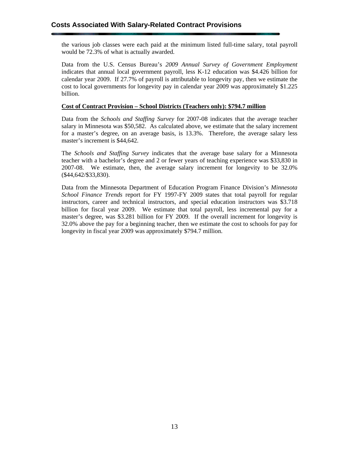the various job classes were each paid at the minimum listed full-time salary, total payroll would be 72.3% of what is actually awarded.

Data from the U.S. Census Bureau's *2009 Annual Survey of Government Employment* indicates that annual local government payroll, less K-12 education was \$4.426 billion for calendar year 2009. If 27.7% of payroll is attributable to longevity pay, then we estimate the cost to local governments for longevity pay in calendar year 2009 was approximately \$1.225 billion.

#### **Cost of Contract Provision – School Districts (Teachers only): \$794.7 million**

Data from the *Schools and Staffing Survey* for 2007-08 indicates that the average teacher salary in Minnesota was \$50,582. As calculated above, we estimate that the salary increment for a master's degree, on an average basis, is 13.3%. Therefore, the average salary less master's increment is \$44,642.

The *Schools and Staffing Survey* indicates that the average base salary for a Minnesota teacher with a bachelor's degree and 2 or fewer years of teaching experience was \$33,830 in 2007-08. We estimate, then, the average salary increment for longevity to be 32.0% (\$44,642/\$33,830).

Data from the Minnesota Department of Education Program Finance Division's *Minnesota School Finance Trends* report for FY 1997-FY 2009 states that total payroll for regular instructors, career and technical instructors, and special education instructors was \$3.718 billion for fiscal year 2009. We estimate that total payroll, less incremental pay for a master's degree, was \$3.281 billion for FY 2009. If the overall increment for longevity is 32.0% above the pay for a beginning teacher, then we estimate the cost to schools for pay for longevity in fiscal year 2009 was approximately \$794.7 million.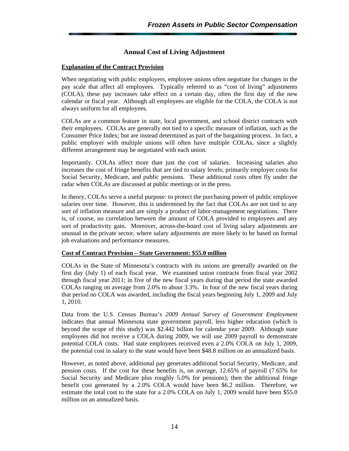# **Annual Cost of Living Adjustment**

#### **Explanation of the Contract Provision**

When negotiating with public employers, employee unions often negotiate for changes in the pay scale that affect all employees. Typically referred to as "cost of living" adjustments (COLA), these pay increases take effect on a certain day, often the first day of the new calendar or fiscal year. Although all employees are eligible for the COLA, the COLA is not always uniform for all employees.

COLAs are a common feature in state, local government, and school district contracts with their employees. COLAs are generally not tied to a specific measure of inflation, such as the Consumer Price Index; but are instead determined as part of the bargaining process. In fact, a public employer with multiple unions will often have multiple COLAs, since a slightly different arrangement may be negotiated with each union.

Importantly, COLAs affect more than just the cost of salaries. Increasing salaries also increases the cost of fringe benefits that are tied to salary levels; primarily employer costs for Social Security, Medicare, and public pensions. These additional costs often fly under the radar when COLAs are discussed at public meetings or in the press.

In theory, COLAs serve a useful purpose: to protect the purchasing power of public employee salaries over time. However, this is undermined by the fact that COLAs are not tied to any sort of inflation measure and are simply a product of labor-management negotiations. There is, of course, no correlation between the amount of COLA provided to employees and any sort of productivity gain. Moreover, across-the-board cost of living salary adjustments are unusual in the private sector, where salary adjustments are more likely to be based on formal job evaluations and performance measures.

#### **Cost of Contract Provision – State Government: \$55.0 million**

COLAs in the State of Minnesota's contracts with its unions are generally awarded on the first day (July 1) of each fiscal year. We examined union contracts from fiscal year 2002 through fiscal year 2011; in five of the new fiscal years during that period the state awarded COLAs ranging on average from 2.0% to about 3.3%. In four of the new fiscal years during that period no COLA was awarded, including the fiscal years beginning July 1, 2009 and July 1, 2010.

Data from the U.S. Census Bureau's *2009 Annual Survey of Government Employment* indicates that annual Minnesota state government payroll, less higher education (which is beyond the scope of this study) was \$2.442 billion for calendar year 2009. Although state employees did not receive a COLA during 2009, we will use 2009 payroll to demonstrate potential COLA costs. Had state employees received even a 2.0% COLA on July 1, 2009, the potential cost in salary to the state would have been \$48.8 million on an annualized basis.

However, as noted above, additional pay generates additional Social Security, Medicare, and pension costs. If the cost for these benefits is, on average, 12.65% of payroll (7.65% for Social Security and Medicare plus roughly 5.0% for pensions); then the additional fringe benefit cost generated by a 2.0% COLA would have been \$6.2 million. Therefore, we estimate the total cost to the state for a 2.0% COLA on July 1, 2009 would have been \$55.0 million on an annualized basis.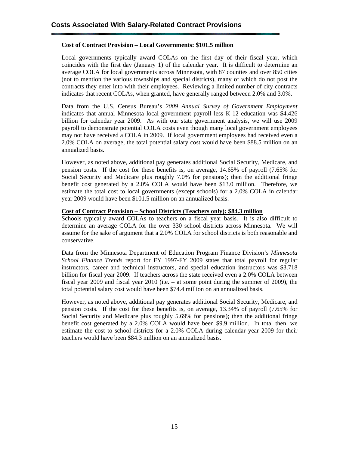#### **Cost of Contract Provision – Local Governments: \$101.5 million**

Local governments typically award COLAs on the first day of their fiscal year, which coincides with the first day (January 1) of the calendar year. It is difficult to determine an average COLA for local governments across Minnesota, with 87 counties and over 850 cities (not to mention the various townships and special districts), many of which do not post the contracts they enter into with their employees. Reviewing a limited number of city contracts indicates that recent COLAs, when granted, have generally ranged between 2.0% and 3.0%.

Data from the U.S. Census Bureau's *2009 Annual Survey of Government Employment* indicates that annual Minnesota local government payroll less K-12 education was \$4.426 billion for calendar year 2009. As with our state government analysis, we will use 2009 payroll to demonstrate potential COLA costs even though many local government employees may not have received a COLA in 2009. If local government employees had received even a 2.0% COLA on average, the total potential salary cost would have been \$88.5 million on an annualized basis.

However, as noted above, additional pay generates additional Social Security, Medicare, and pension costs. If the cost for these benefits is, on average, 14.65% of payroll (7.65% for Social Security and Medicare plus roughly 7.0% for pensions); then the additional fringe benefit cost generated by a 2.0% COLA would have been \$13.0 million. Therefore, we estimate the total cost to local governments (except schools) for a 2.0% COLA in calendar year 2009 would have been \$101.5 million on an annualized basis.

#### **Cost of Contract Provision – School Districts (Teachers only): \$84.3 million**

Schools typically award COLAs to teachers on a fiscal year basis. It is also difficult to determine an average COLA for the over 330 school districts across Minnesota. We will assume for the sake of argument that a 2.0% COLA for school districts is both reasonable and conservative.

Data from the Minnesota Department of Education Program Finance Division's *Minnesota School Finance Trends* report for FY 1997-FY 2009 states that total payroll for regular instructors, career and technical instructors, and special education instructors was \$3.718 billion for fiscal year 2009. If teachers across the state received even a 2.0% COLA between fiscal year 2009 and fiscal year 2010 (i.e. – at some point during the summer of 2009), the total potential salary cost would have been \$74.4 million on an annualized basis.

However, as noted above, additional pay generates additional Social Security, Medicare, and pension costs. If the cost for these benefits is, on average, 13.34% of payroll (7.65% for Social Security and Medicare plus roughly 5.69% for pensions); then the additional fringe benefit cost generated by a 2.0% COLA would have been \$9.9 million. In total then, we estimate the cost to school districts for a 2.0% COLA during calendar year 2009 for their teachers would have been \$84.3 million on an annualized basis.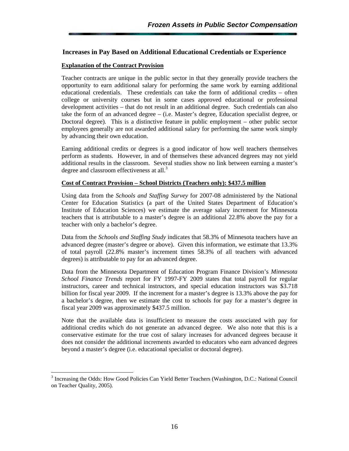# **Increases in Pay Based on Additional Educational Credentials or Experience**

## **Explanation of the Contract Provision**

 $\overline{a}$ 

Teacher contracts are unique in the public sector in that they generally provide teachers the opportunity to earn additional salary for performing the same work by earning additional educational credentials. These credentials can take the form of additional credits – often college or university courses but in some cases approved educational or professional development activities – that do not result in an additional degree. Such credentials can also take the form of an advanced degree – (i.e. Master's degree, Education specialist degree, or Doctoral degree). This is a distinctive feature in public employment – other public sector employees generally are not awarded additional salary for performing the same work simply by advancing their own education.

Earning additional credits or degrees is a good indicator of how well teachers themselves perform as students. However, in and of themselves these advanced degrees may not yield additional results in the classroom. Several studies show no link between earning a master's degree and classroom effectiveness at all.<sup>3</sup>

## **Cost of Contract Provision – School Districts (Teachers only): \$437.5 million**

Using data from the *Schools and Staffing Survey* for 2007-08 administered by the National Center for Education Statistics (a part of the United States Department of Education's Institute of Education Sciences) we estimate the average salary increment for Minnesota teachers that is attributable to a master's degree is an additional 22.8% above the pay for a teacher with only a bachelor's degree.

Data from the *Schools and Staffing Study* indicates that 58.3% of Minnesota teachers have an advanced degree (master's degree or above). Given this information, we estimate that 13.3% of total payroll (22.8% master's increment times 58.3% of all teachers with advanced degrees) is attributable to pay for an advanced degree.

Data from the Minnesota Department of Education Program Finance Division's *Minnesota School Finance Trends* report for FY 1997-FY 2009 states that total payroll for regular instructors, career and technical instructors, and special education instructors was \$3.718 billion for fiscal year 2009. If the increment for a master's degree is 13.3% above the pay for a bachelor's degree, then we estimate the cost to schools for pay for a master's degree in fiscal year 2009 was approximately \$437.5 million.

Note that the available data is insufficient to measure the costs associated with pay for additional credits which do not generate an advanced degree. We also note that this is a conservative estimate for the true cost of salary increases for advanced degrees because it does not consider the additional increments awarded to educators who earn advanced degrees beyond a master's degree (i.e. educational specialist or doctoral degree).

<sup>&</sup>lt;sup>3</sup> Increasing the Odds: How Good Policies Can Yield Better Teachers (Washington, D.C.: National Council on Teacher Quality, 2005).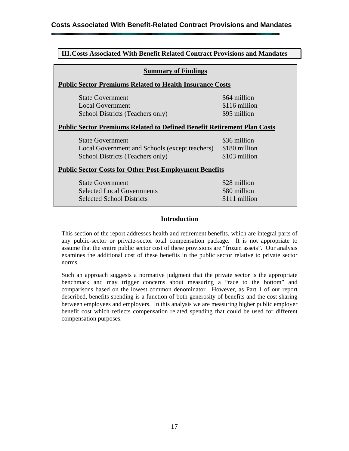| <b>III. Costs Associated With Benefit Related Contract Provisions and Mandates</b>                                                                                                                                 |                                                |  |  |  |
|--------------------------------------------------------------------------------------------------------------------------------------------------------------------------------------------------------------------|------------------------------------------------|--|--|--|
| <b>Summary of Findings</b>                                                                                                                                                                                         |                                                |  |  |  |
| <b>Public Sector Premiums Related to Health Insurance Costs</b>                                                                                                                                                    |                                                |  |  |  |
| <b>State Government</b><br><b>Local Government</b><br>School Districts (Teachers only)                                                                                                                             | \$64 million<br>\$116 million<br>\$95 million  |  |  |  |
| <b>Public Sector Premiums Related to Defined Benefit Retirement Plan Costs</b>                                                                                                                                     |                                                |  |  |  |
| <b>State Government</b><br>Local Government and Schools (except teachers)<br>School Districts (Teachers only)                                                                                                      | \$36 million<br>\$180 million<br>\$103 million |  |  |  |
| <b>Public Sector Costs for Other Post-Employment Benefits</b><br>\$28 million<br><b>State Government</b><br><b>Selected Local Governments</b><br>\$80 million<br><b>Selected School Districts</b><br>\$111 million |                                                |  |  |  |

# **Introduction**

This section of the report addresses health and retirement benefits, which are integral parts of any public-sector or private-sector total compensation package. It is not appropriate to assume that the entire public sector cost of these provisions are "frozen assets". Our analysis examines the additional cost of these benefits in the public sector relative to private sector norms.

Such an approach suggests a normative judgment that the private sector is the appropriate benchmark and may trigger concerns about measuring a "race to the bottom" and comparisons based on the lowest common denominator. However, as Part 1 of our report described, benefits spending is a function of both generosity of benefits and the cost sharing between employees and employers. In this analysis we are measuring higher public employer benefit cost which reflects compensation related spending that could be used for different compensation purposes.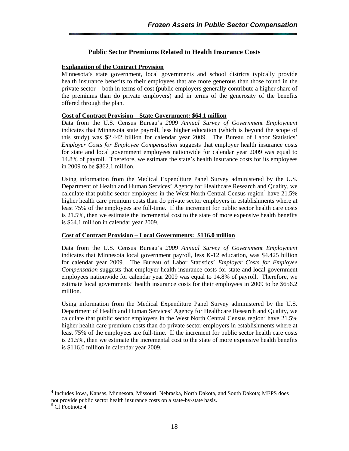# **Public Sector Premiums Related to Health Insurance Costs**

## **Explanation of the Contract Provision**

Minnesota's state government, local governments and school districts typically provide health insurance benefits to their employees that are more generous than those found in the private sector – both in terms of cost (public employers generally contribute a higher share of the premiums than do private employers) and in terms of the generosity of the benefits offered through the plan.

## **Cost of Contract Provision – State Government: \$64.1 million**

Data from the U.S. Census Bureau's *2009 Annual Survey of Government Employment* indicates that Minnesota state payroll, less higher education (which is beyond the scope of this study) was \$2.442 billion for calendar year 2009. The Bureau of Labor Statistics' *Employer Costs for Employee Compensation* suggests that employer health insurance costs for state and local government employees nationwide for calendar year 2009 was equal to 14.8% of payroll. Therefore, we estimate the state's health insurance costs for its employees in 2009 to be \$362.1 million.

Using information from the Medical Expenditure Panel Survey administered by the U.S. Department of Health and Human Services' Agency for Healthcare Research and Quality, we calculate that public sector employers in the West North Central Census region<sup>4</sup> have  $21.5\%$ higher health care premium costs than do private sector employers in establishments where at least 75% of the employees are full-time. If the increment for public sector health care costs is 21.5%, then we estimate the incremental cost to the state of more expensive health benefits is \$64.1 million in calendar year 2009.

#### **Cost of Contract Provision – Local Governments: \$116.0 million**

Data from the U.S. Census Bureau's *2009 Annual Survey of Government Employment* indicates that Minnesota local government payroll, less K-12 education, was \$4.425 billion for calendar year 2009. The Bureau of Labor Statistics' *Employer Costs for Employee Compensation* suggests that employer health insurance costs for state and local government employees nationwide for calendar year 2009 was equal to 14.8% of payroll. Therefore, we estimate local governments' health insurance costs for their employees in 2009 to be \$656.2 million.

Using information from the Medical Expenditure Panel Survey administered by the U.S. Department of Health and Human Services' Agency for Healthcare Research and Quality, we calculate that public sector employers in the West North Central Census region<sup>5</sup> have  $21.5\%$ higher health care premium costs than do private sector employers in establishments where at least 75% of the employees are full-time. If the increment for public sector health care costs is 21.5%, then we estimate the incremental cost to the state of more expensive health benefits is \$116.0 million in calendar year 2009.

<sup>4</sup> Includes Iowa, Kansas, Minnesota, Missouri, Nebraska, North Dakota, and South Dakota; MEPS does not provide public sector health insurance costs on a state-by-state basis.

<sup>5</sup> Cf Footnote 4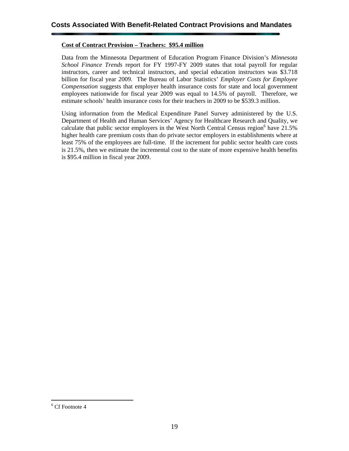## **Cost of Contract Provision – Teachers: \$95.4 million**

Data from the Minnesota Department of Education Program Finance Division's *Minnesota School Finance Trends* report for FY 1997-FY 2009 states that total payroll for regular instructors, career and technical instructors, and special education instructors was \$3.718 billion for fiscal year 2009. The Bureau of Labor Statistics' *Employer Costs for Employee Compensation* suggests that employer health insurance costs for state and local government employees nationwide for fiscal year 2009 was equal to 14.5% of payroll. Therefore, we estimate schools' health insurance costs for their teachers in 2009 to be \$539.3 million.

Using information from the Medical Expenditure Panel Survey administered by the U.S. Department of Health and Human Services' Agency for Healthcare Research and Quality, we calculate that public sector employers in the West North Central Census region $6$  have  $21.5\%$ higher health care premium costs than do private sector employers in establishments where at least 75% of the employees are full-time. If the increment for public sector health care costs is 21.5%, then we estimate the incremental cost to the state of more expensive health benefits is \$95.4 million in fiscal year 2009.

<sup>6</sup> Cf Footnote 4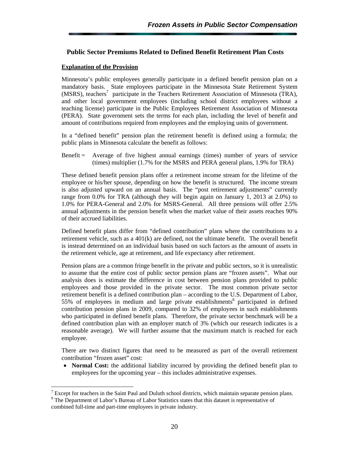# **Public Sector Premiums Related to Defined Benefit Retirement Plan Costs**

#### **Explanation of the Provision**

 $\overline{a}$ 

Minnesota's public employees generally participate in a defined benefit pension plan on a mandatory basis. State employees participate in the Minnesota State Retirement System  $(MSRS)$ , teachers<sup>7</sup> participate in the Teachers Retirement Association of Minnesota (TRA), and other local government employees (including school district employees without a teaching license) participate in the Public Employees Retirement Association of Minnesota (PERA). State government sets the terms for each plan, including the level of benefit and amount of contributions required from employees and the employing units of government.

In a "defined benefit" pension plan the retirement benefit is defined using a formula; the public plans in Minnesota calculate the benefit as follows:

Benefit  $=$  Average of five highest annual earnings (times) number of years of service (times) multiplier (1.7% for the MSRS and PERA general plans, 1.9% for TRA)

These defined benefit pension plans offer a retirement income stream for the lifetime of the employee or his/her spouse, depending on how the benefit is structured. The income stream is also adjusted upward on an annual basis. The "post retirement adjustments" currently range from 0.0% for TRA (although they will begin again on January 1, 2013 at 2.0%) to 1.0% for PERA-General and 2.0% for MSRS-General. All three pensions will offer 2.5% annual adjustments in the pension benefit when the market value of their assets reaches 90% of their accrued liabilities.

Defined benefit plans differ from "defined contribution" plans where the contributions to a retirement vehicle, such as a  $401(k)$  are defined, not the ultimate benefit. The overall benefit is instead determined on an individual basis based on such factors as the amount of assets in the retirement vehicle, age at retirement, and life expectancy after retirement.

Pension plans are a common fringe benefit in the private and public sectors, so it is unrealistic to assume that the entire cost of public sector pension plans are "frozen assets". What our analysis does is estimate the difference in cost between pension plans provided to public employees and those provided in the private sector. The most common private sector retirement benefit is a defined contribution plan – according to the U.S. Department of Labor, 55% of employees in medium and large private establishments<sup>8</sup> participated in defined contribution pension plans in 2009, compared to 32% of employees in such establishments who participated in defined benefit plans. Therefore, the private sector benchmark will be a defined contribution plan with an employer match of 3% (which our research indicates is a reasonable average). We will further assume that the maximum match is reached for each employee.

There are two distinct figures that need to be measured as part of the overall retirement contribution "frozen asset" cost:

 **Normal Cost:** the additional liability incurred by providing the defined benefit plan to employees for the upcoming year – this includes administrative expenses.

Except for teachers in the Saint Paul and Duluth school districts, which maintain separate pension plans. <sup>8</sup> The Department of Labor's Bureau of Labor Statistics states that this dataset is representative of combined full-time and part-time employees in private industry.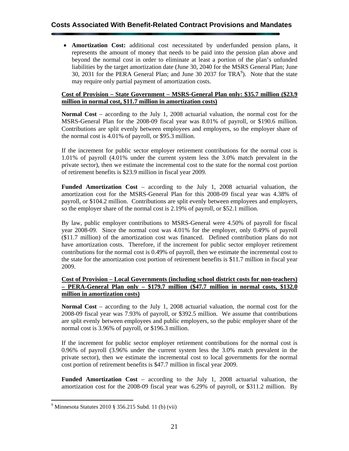**Amortization Cost:** additional cost necessitated by underfunded pension plans, it represents the amount of money that needs to be paid into the pension plan above and beyond the normal cost in order to eliminate at least a portion of the plan's unfunded liabilities by the target amortization date (June 30, 2040 for the MSRS General Plan; June 30, 2031 for the PERA General Plan; and June 30 2037 for  $TRA<sup>9</sup>$ ). Note that the state may require only partial payment of amortization costs.

# **Cost of Provision – State Government – MSRS-General Plan only: \$35.7 million (\$23.9 million in normal cost, \$11.7 million in amortization costs)**

**Normal Cost** – according to the July 1, 2008 actuarial valuation, the normal cost for the MSRS-General Plan for the 2008-09 fiscal year was 8.01% of payroll, or \$190.6 million. Contributions are split evenly between employees and employers, so the employer share of the normal cost is 4.01% of payroll, or \$95.3 million.

If the increment for public sector employer retirement contributions for the normal cost is 1.01% of payroll (4.01% under the current system less the 3.0% match prevalent in the private sector), then we estimate the incremental cost to the state for the normal cost portion of retirement benefits is \$23.9 million in fiscal year 2009.

**Funded Amortization Cost** – according to the July 1, 2008 actuarial valuation, the amortization cost for the MSRS-General Plan for this 2008-09 fiscal year was 4.38% of payroll, or \$104.2 million. Contributions are split evenly between employees and employers, so the employer share of the normal cost is 2.19% of payroll, or \$52.1 million.

By law, public employer contributions to MSRS-General were 4.50% of payroll for fiscal year 2008-09. Since the normal cost was 4.01% for the employer, only 0.49% of payroll (\$11.7 million) of the amortization cost was financed. Defined contribution plans do not have amortization costs. Therefore, if the increment for public sector employer retirement contributions for the normal cost is 0.49% of payroll, then we estimate the incremental cost to the state for the amortization cost portion of retirement benefits is \$11.7 million in fiscal year 2009.

## **Cost of Provision – Local Governments (including school district costs for non-teachers) – PERA-General Plan only – \$179.7 million (\$47.7 million in normal costs, \$132.0 million in amortization costs)**

**Normal Cost** – according to the July 1, 2008 actuarial valuation, the normal cost for the 2008-09 fiscal year was 7.93% of payroll, or \$392.5 million. We assume that contributions are split evenly between employees and public employers, so the pubic employer share of the normal cost is 3.96% of payroll, or \$196.3 million.

If the increment for public sector employer retirement contributions for the normal cost is 0.96% of payroll (3.96% under the current system less the 3.0% match prevalent in the private sector), then we estimate the incremental cost to local governments for the normal cost portion of retirement benefits is \$47.7 million in fiscal year 2009.

**Funded Amortization Cost** – according to the July 1, 2008 actuarial valuation, the amortization cost for the 2008-09 fiscal year was 6.29% of payroll, or \$311.2 million. By

<sup>&</sup>lt;sup>9</sup> Minnesota Statutes 2010 § 356.215 Subd. 11 (b) (vii)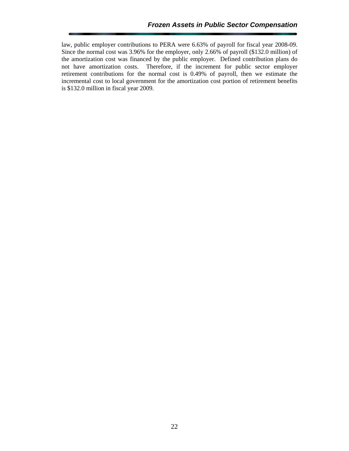law, public employer contributions to PERA were 6.63% of payroll for fiscal year 2008-09. Since the normal cost was 3.96% for the employer, only 2.66% of payroll (\$132.0 million) of the amortization cost was financed by the public employer. Defined contribution plans do not have amortization costs. Therefore, if the increment for public sector employer retirement contributions for the normal cost is 0.49% of payroll, then we estimate the incremental cost to local government for the amortization cost portion of retirement benefits is \$132.0 million in fiscal year 2009.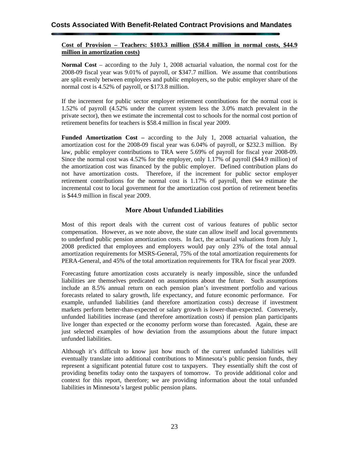#### **Cost of Provision – Teachers: \$103.3 million (\$58.4 million in normal costs, \$44.9 million in amortization costs)**

**Normal Cost** – according to the July 1, 2008 actuarial valuation, the normal cost for the 2008-09 fiscal year was 9.01% of payroll, or \$347.7 million. We assume that contributions are split evenly between employees and public employers, so the pubic employer share of the normal cost is 4.52% of payroll, or \$173.8 million.

If the increment for public sector employer retirement contributions for the normal cost is 1.52% of payroll (4.52% under the current system less the 3.0% match prevalent in the private sector), then we estimate the incremental cost to schools for the normal cost portion of retirement benefits for teachers is \$58.4 million in fiscal year 2009.

**Funded Amortization Cost –** according to the July 1, 2008 actuarial valuation, the amortization cost for the 2008-09 fiscal year was 6.04% of payroll, or \$232.3 million. By law, public employer contributions to TRA were 5.69% of payroll for fiscal year 2008-09. Since the normal cost was 4.52% for the employer, only 1.17% of payroll (\$44.9 million) of the amortization cost was financed by the public employer. Defined contribution plans do not have amortization costs. Therefore, if the increment for public sector employer retirement contributions for the normal cost is 1.17% of payroll, then we estimate the incremental cost to local government for the amortization cost portion of retirement benefits is \$44.9 million in fiscal year 2009.

# **More About Unfunded Liabilities**

Most of this report deals with the current cost of various features of public sector compensation. However, as we note above, the state can allow itself and local governments to underfund public pension amortization costs. In fact, the actuarial valuations from July 1, 2008 predicted that employees and employers would pay only 23% of the total annual amortization requirements for MSRS-General, 75% of the total amortization requirements for PERA-General, and 45% of the total amortization requirements for TRA for fiscal year 2009.

Forecasting future amortization costs accurately is nearly impossible, since the unfunded liabilities are themselves predicated on assumptions about the future. Such assumptions include an 8.5% annual return on each pension plan's investment portfolio and various forecasts related to salary growth, life expectancy, and future economic performance. For example, unfunded liabilities (and therefore amortization costs) decrease if investment markets perform better-than-expected or salary growth is lower-than-expected. Conversely, unfunded liabilities increase (and therefore amortization costs) if pension plan participants live longer than expected or the economy perform worse than forecasted. Again, these are just selected examples of how deviation from the assumptions about the future impact unfunded liabilities.

Although it's difficult to know just how much of the current unfunded liabilities will eventually translate into additional contributions to Minnesota's public pension funds, they represent a significant potential future cost to taxpayers. They essentially shift the cost of providing benefits today onto the taxpayers of tomorrow. To provide additional color and context for this report, therefore; we are providing information about the total unfunded liabilities in Minnesota's largest public pension plans.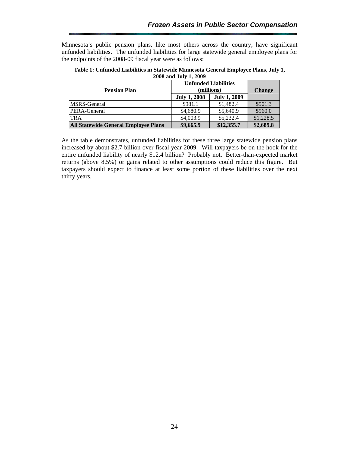Minnesota's public pension plans, like most others across the country, have significant unfunded liabilities. The unfunded liabilities for large statewide general employee plans for the endpoints of the 2008-09 fiscal year were as follows:

| 2000 and July 1, 2007                       |                             |                     |           |  |
|---------------------------------------------|-----------------------------|---------------------|-----------|--|
|                                             | <b>Unfunded Liabilities</b> |                     |           |  |
| <b>Pension Plan</b>                         | (millions)                  | <b>Change</b>       |           |  |
|                                             | <b>July 1, 2008</b>         | <b>July 1, 2009</b> |           |  |
| MSRS-General                                | \$981.1                     | \$1,482.4           | \$501.3   |  |
| PERA-General                                | \$4,680.9                   | \$5,640.9           | \$960.0   |  |
| <b>TRA</b>                                  | \$4,003.9                   | \$5,232.4           | \$1,228.5 |  |
| <b>All Statewide General Employee Plans</b> | \$9,665.9                   | \$12,355.7          | \$2,689.8 |  |

**Table 1: Unfunded Liabilities in Statewide Minnesota General Employee Plans, July 1, 2008 and July 1, 2009** 

As the table demonstrates, unfunded liabilities for these three large statewide pension plans increased by about \$2.7 billion over fiscal year 2009. Will taxpayers be on the hook for the entire unfunded liability of nearly \$12.4 billion? Probably not. Better-than-expected market returns (above 8.5%) or gains related to other assumptions could reduce this figure. But taxpayers should expect to finance at least some portion of these liabilities over the next thirty years.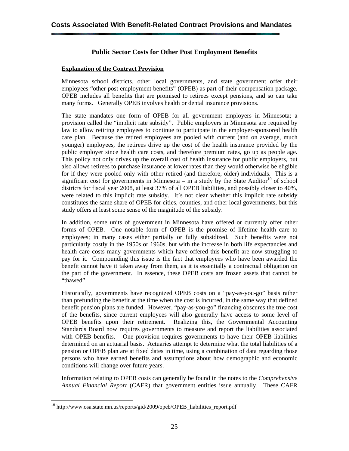# **Public Sector Costs for Other Post Employment Benefits**

# **Explanation of the Contract Provision**

Minnesota school districts, other local governments, and state government offer their employees "other post employment benefits" (OPEB) as part of their compensation package. OPEB includes all benefits that are promised to retirees except pensions, and so can take many forms. Generally OPEB involves health or dental insurance provisions.

The state mandates one form of OPEB for all government employers in Minnesota; a provision called the "implicit rate subsidy". Public employers in Minnesota are required by law to allow retiring employees to continue to participate in the employer-sponsored health care plan. Because the retired employees are pooled with current (and on average, much younger) employees, the retirees drive up the cost of the health insurance provided by the public employer since health care costs, and therefore premium rates, go up as people age. This policy not only drives up the overall cost of health insurance for public employers, but also allows retirees to purchase insurance at lower rates than they would otherwise be eligible for if they were pooled only with other retired (and therefore, older) individuals. This is a significant cost for governments in Minnesota – in a study by the State Auditor<sup>10</sup> of school districts for fiscal year 2008, at least 37% of all OPEB liabilities, and possibly closer to 40%, were related to this implicit rate subsidy. It's not clear whether this implicit rate subsidy constitutes the same share of OPEB for cities, counties, and other local governments, but this study offers at least some sense of the magnitude of the subsidy.

In addition, some units of government in Minnesota have offered or currently offer other forms of OPEB. One notable form of OPEB is the promise of lifetime health care to employees; in many cases either partially or fully subsidized. Such benefits were not particularly costly in the 1950s or 1960s, but with the increase in both life expectancies and health care costs many governments which have offered this benefit are now struggling to pay for it. Compounding this issue is the fact that employees who have been awarded the benefit cannot have it taken away from them, as it is essentially a contractual obligation on the part of the government. In essence, these OPEB costs are frozen assets that cannot be "thawed".

Historically, governments have recognized OPEB costs on a "pay-as-you-go" basis rather than prefunding the benefit at the time when the cost is incurred, in the same way that defined benefit pension plans are funded. However, "pay-as-you-go" financing obscures the true cost of the benefits, since current employees will also generally have access to some level of OPEB benefits upon their retirement. Realizing this, the Governmental Accounting Standards Board now requires governments to measure and report the liabilities associated with OPEB benefits. One provision requires governments to have their OPEB liabilities determined on an actuarial basis. Actuaries attempt to determine what the total liabilities of a pension or OPEB plan are at fixed dates in time, using a combination of data regarding those persons who have earned benefits and assumptions about how demographic and economic conditions will change over future years.

Information relating to OPEB costs can generally be found in the notes to the *Comprehensive Annual Financial Report* (CAFR) that government entities issue annually. These CAFR

<sup>10</sup> http://www.osa.state.mn.us/reports/gid/2009/opeb/OPEB\_liabilities\_report.pdf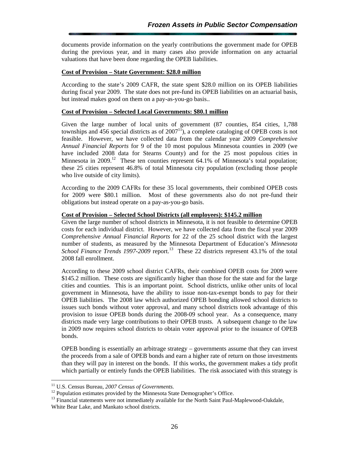documents provide information on the yearly contributions the government made for OPEB during the previous year, and in many cases also provide information on any actuarial valuations that have been done regarding the OPEB liabilities.

#### **Cost of Provision – State Government: \$28.0 million**

According to the state's 2009 CAFR, the state spent \$28.0 million on its OPEB liabilities during fiscal year 2009. The state does not pre-fund its OPEB liabilities on an actuarial basis, but instead makes good on them on a pay-as-you-go basis..

#### **Cost of Provision – Selected Local Governments: \$80.1 million**

Given the large number of local units of government (87 counties, 854 cities, 1,788 townships and 456 special districts as of  $2007<sup>11</sup>$ , a complete cataloging of OPEB costs is not feasible. However, we have collected data from the calendar year 2009 *Comprehensive Annual Financial Reports* for 9 of the 10 most populous Minnesota counties in 2009 (we have included 2008 data for Stearns County) and for the 25 most populous cities in Minnesota in 2009.<sup>12</sup> These ten counties represent 64.1% of Minnesota's total population; these 25 cities represent 46.8% of total Minnesota city population (excluding those people who live outside of city limits).

According to the 2009 CAFRs for these 35 local governments, their combined OPEB costs for 2009 were \$80.1 million. Most of these governments also do not pre-fund their obligations but instead operate on a pay-as-you-go basis.

#### **Cost of Provision – Selected School Districts (all employees): \$145.2 million**

Given the large number of school districts in Minnesota, it is not feasible to determine OPEB costs for each individual district. However, we have collected data from the fiscal year 2009 *Comprehensive Annual Financial Reports* for 22 of the 25 school district with the largest number of students, as measured by the Minnesota Department of Education's *Minnesota School Finance Trends 1997-2009* report.<sup>13</sup> These 22 districts represent 43.1% of the total 2008 fall enrollment.

According to these 2009 school district CAFRs, their combined OPEB costs for 2009 were \$145.2 million. These costs are significantly higher than those for the state and for the large cities and counties. This is an important point. School districts, unlike other units of local government in Minnesota, have the ability to issue non-tax-exempt bonds to pay for their OPEB liabilities. The 2008 law which authorized OPEB bonding allowed school districts to issues such bonds without voter approval, and many school districts took advantage of this provision to issue OPEB bonds during the 2008-09 school year. As a consequence, many districts made very large contributions to their OPEB trusts. A subsequent change to the law in 2009 now requires school districts to obtain voter approval prior to the issuance of OPEB bonds.

OPEB bonding is essentially an arbitrage strategy – governments assume that they can invest the proceeds from a sale of OPEB bonds and earn a higher rate of return on those investments than they will pay in interest on the bonds. If this works, the government makes a tidy profit which partially or entirely funds the OPEB liabilities. The risk associated with this strategy is

<sup>11</sup> U.S. Census Bureau, *2007 Census of Governments.*

 $12$  Population estimates provided by the Minnesota State Demographer's Office.

 $13$  Financial statements were not immediately available for the North Saint Paul-Maplewood-Oakdale, White Bear Lake, and Mankato school districts.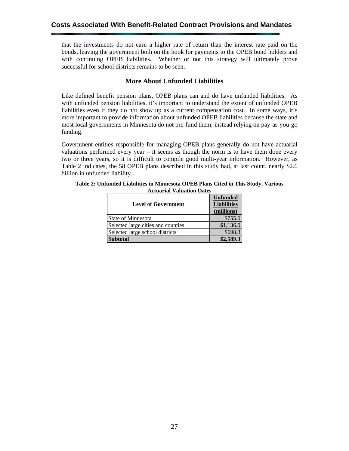that the investments do not earn a higher rate of return than the interest rate paid on the bonds, leaving the government both on the hook for payments to the OPEB bond holders and with continuing OPEB liabilities. Whether or not this strategy will ultimately prove successful for school districts remains to be seen.

# **More About Unfunded Liabilities**

Like defined benefit pension plans, OPEB plans can and do have unfunded liabilities. As with unfunded pension liabilities, it's important to understand the extent of unfunded OPEB liabilities even if they do not show up as a current compensation cost. In some ways, it's more important to provide information about unfunded OPEB liabilities because the state and most local governments in Minnesota do not pre-fund them; instead relying on pay-as-you-go funding.

Government entities responsible for managing OPEB plans generally do not have actuarial valuations performed every year  $-$  it seems as though the norm is to have them done every two or three years, so it is difficult to compile good multi-year information. However, as Table 2 indicates, the 58 OPEB plans described in this study had, at last count, nearly \$2.6 billion in unfunded liability.

| <b>Level of Government</b>         | <b>Unfunded</b><br><b>Liabilities</b><br>(millions) |
|------------------------------------|-----------------------------------------------------|
| State of Minnesota                 | \$755.0                                             |
| Selected large cities and counties | \$1,136.0                                           |
| Selected large school districts    | \$698.3                                             |
| <b>Subtotal</b>                    | \$2,589.3                                           |

**Table 2: Unfunded Liabilities in Minnesota OPEB Plans Cited in This Study, Various Actuarial Valuation Dates**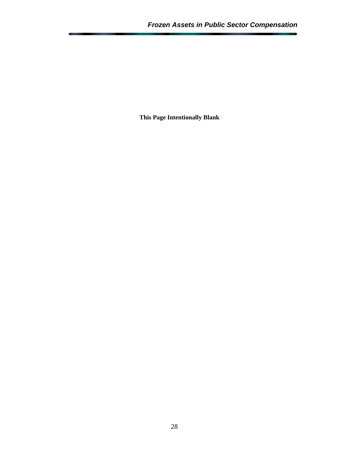**This Page Intentionally Blank**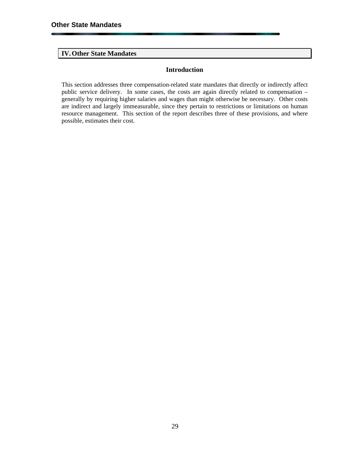# **IV.Other State Mandates**

# **Introduction**

This section addresses three compensation-related state mandates that directly or indirectly affect public service delivery. In some cases, the costs are again directly related to compensation – generally by requiring higher salaries and wages than might otherwise be necessary. Other costs are indirect and largely immeasurable, since they pertain to restrictions or limitations on human resource management. This section of the report describes three of these provisions, and where possible, estimates their cost.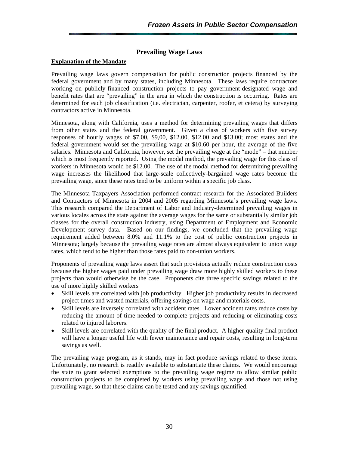# **Prevailing Wage Laws**

#### **Explanation of the Mandate**

Prevailing wage laws govern compensation for public construction projects financed by the federal government and by many states, including Minnesota. These laws require contractors working on publicly-financed construction projects to pay government-designated wage and benefit rates that are "prevailing" in the area in which the construction is occurring. Rates are determined for each job classification (i.e. electrician, carpenter, roofer, et cetera) by surveying contractors active in Minnesota.

Minnesota, along with California, uses a method for determining prevailing wages that differs from other states and the federal government. Given a class of workers with five survey responses of hourly wages of \$7.00, \$9,00, \$12.00, \$12.00 and \$13.00; most states and the federal government would set the prevailing wage at \$10.60 per hour, the average of the five salaries. Minnesota and California, however, set the prevailing wage at the "mode" – that number which is most frequently reported. Using the modal method, the prevailing wage for this class of workers in Minnesota would be \$12.00. The use of the modal method for determining prevailing wage increases the likelihood that large-scale collectively-bargained wage rates become the prevailing wage, since these rates tend to be uniform within a specific job class.

The Minnesota Taxpayers Association performed contract research for the Associated Builders and Contractors of Minnesota in 2004 and 2005 regarding Minnesota's prevailing wage laws. This research compared the Department of Labor and Industry-determined prevailing wages in various locales across the state against the average wages for the same or substantially similar job classes for the overall construction industry, using Department of Employment and Economic Development survey data. Based on our findings, we concluded that the prevailing wage requirement added between 8.0% and 11.1% to the cost of public construction projects in Minnesota; largely because the prevailing wage rates are almost always equivalent to union wage rates, which tend to be higher than those rates paid to non-union workers.

Proponents of prevailing wage laws assert that such provisions actually reduce construction costs because the higher wages paid under prevailing wage draw more highly skilled workers to these projects than would otherwise be the case. Proponents cite three specific savings related to the use of more highly skilled workers

- Skill levels are correlated with job productivity. Higher job productivity results in decreased project times and wasted materials, offering savings on wage and materials costs.
- Skill levels are inversely correlated with accident rates. Lower accident rates reduce costs by reducing the amount of time needed to complete projects and reducing or eliminating costs related to injured laborers.
- Skill levels are correlated with the quality of the final product. A higher-quality final product will have a longer useful life with fewer maintenance and repair costs, resulting in long-term savings as well.

The prevailing wage program, as it stands, may in fact produce savings related to these items. Unfortunately, no research is readily available to substantiate these claims. We would encourage the state to grant selected exemptions to the prevailing wage regime to allow similar public construction projects to be completed by workers using prevailing wage and those not using prevailing wage, so that these claims can be tested and any savings quantified.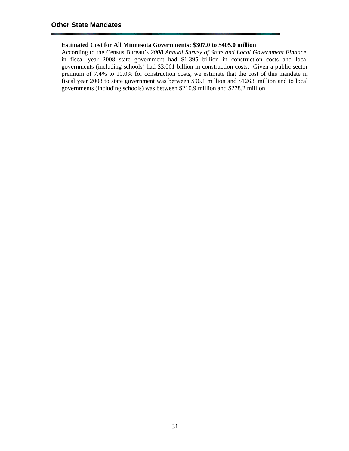# **Estimated Cost for All Minnesota Governments: \$307.0 to \$405.0 million**

According to the Census Bureau's *2008 Annual Survey of State and Local Government Finance*, in fiscal year 2008 state government had \$1.395 billion in construction costs and local governments (including schools) had \$3.061 billion in construction costs. Given a public sector premium of 7.4% to 10.0% for construction costs, we estimate that the cost of this mandate in fiscal year 2008 to state government was between \$96.1 million and \$126.8 million and to local governments (including schools) was between \$210.9 million and \$278.2 million.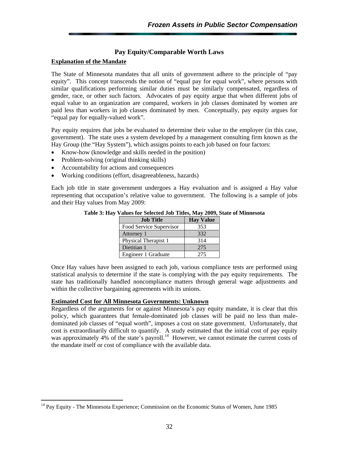# **Pay Equity/Comparable Worth Laws**

#### **Explanation of the Mandate**

The State of Minnesota mandates that all units of government adhere to the principle of "pay equity". This concept transcends the notion of "equal pay for equal work", where persons with similar qualifications performing similar duties must be similarly compensated, regardless of gender, race, or other such factors. Advocates of pay equity argue that when different jobs of equal value to an organization are compared, workers in job classes dominated by women are paid less than workers in job classes dominated by men. Conceptually, pay equity argues for "equal pay for equally-valued work".

Pay equity requires that jobs be evaluated to determine their value to the employer (in this case, government). The state uses a system developed by a management consulting firm known as the Hay Group (the "Hay System"), which assigns points to each job based on four factors:

- Know-how (knowledge and skills needed in the position)
- Problem-solving (original thinking skills)
- Accountability for actions and consequences
- Working conditions (effort, disagreeableness, hazards)

Each job title in state government undergoes a Hay evaluation and is assigned a Hay value representing that occupation's relative value to government. The following is a sample of jobs and their Hay values from May 2009:

| <b>Job Title</b>        | <b>Hav Value</b> |
|-------------------------|------------------|
| Food Service Supervisor | 353              |
| Attorney 1              | 332              |
| Physical Therapist 1    | 314              |
| Dietitian 1             | 275              |
| Engineer 1 Graduate     | 275              |

**Table 3: Hay Values for Selected Job Titles, May 2009, State of Minnesota** 

Once Hay values have been assigned to each job, various compliance tests are performed using statistical analysis to determine if the state is complying with the pay equity requirements. The state has traditionally handled noncompliance matters through general wage adjustments and within the collective bargaining agreements with its unions.

#### **Estimated Cost for All Minnesota Governments: Unknown**

 $\overline{a}$ 

Regardless of the arguments for or against Minnesota's pay equity mandate, it is clear that this policy, which guarantees that female-dominated job classes will be paid no less than maledominated job classes of "equal worth", imposes a cost on state government. Unfortunately, that cost is extraordinarily difficult to quantify. A study estimated that the initial cost of pay equity was approximately 4% of the state's payroll.<sup>14</sup> However, we cannot estimate the current costs of the mandate itself or cost of compliance with the available data.

<sup>&</sup>lt;sup>14</sup> Pay Equity - The Minnesota Experience; Commission on the Economic Status of Women, June 1985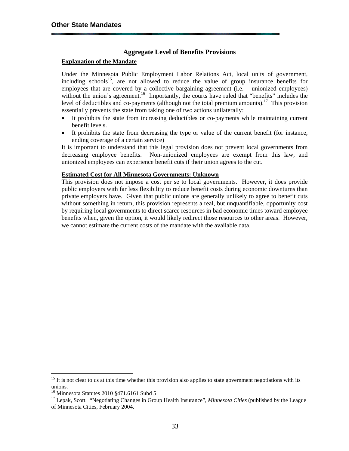## **Aggregate Level of Benefits Provisions**

#### **Explanation of the Mandate**

Under the Minnesota Public Employment Labor Relations Act, local units of government, including schools<sup>15</sup>, are not allowed to reduce the value of group insurance benefits for employees that are covered by a collective bargaining agreement (i.e. – unionized employees) without the union's agreement.<sup>16</sup> Importantly, the courts have ruled that "benefits" includes the level of deductibles and co-payments (although not the total premium amounts).<sup>17</sup> This provision essentially prevents the state from taking one of two actions unilaterally:

- It prohibits the state from increasing deductibles or co-payments while maintaining current benefit levels.
- It prohibits the state from decreasing the type or value of the current benefit (for instance, ending coverage of a certain service)

It is important to understand that this legal provision does not prevent local governments from decreasing employee benefits. Non-unionized employees are exempt from this law, and unionized employees can experience benefit cuts if their union agrees to the cut.

## **Estimated Cost for All Minnesota Governments: Unknown**

This provision does not impose a cost per se to local governments. However, it does provide public employers with far less flexibility to reduce benefit costs during economic downturns than private employers have. Given that public unions are generally unlikely to agree to benefit cuts without something in return, this provision represents a real, but unquantifiable, opportunity cost by requiring local governments to direct scarce resources in bad economic times toward employee benefits when, given the option, it would likely redirect those resources to other areas. However, we cannot estimate the current costs of the mandate with the available data.

 $15$  It is not clear to us at this time whether this provision also applies to state government negotiations with its unions.

 $16$  Minnesota Statutes 2010 §471.6161 Subd 5

<sup>17</sup> Lepak, Scott. "Negotiating Changes in Group Health Insurance"*, Minnesota Cities* (published by the League of Minnesota Cities, February 2004.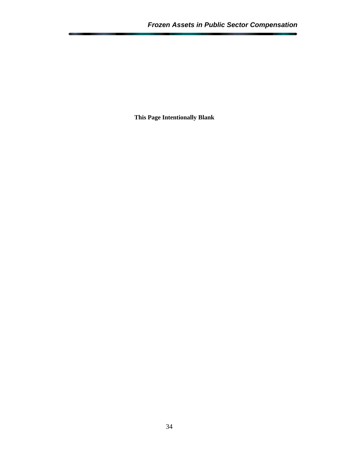**This Page Intentionally Blank**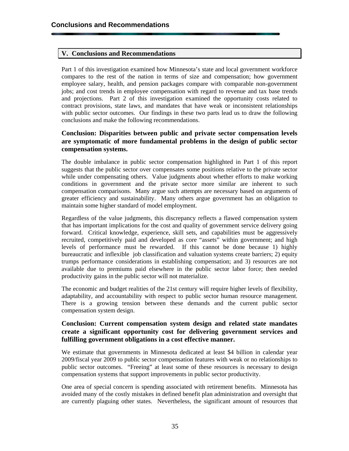# **V. Conclusions and Recommendations**

Part 1 of this investigation examined how Minnesota's state and local government workforce compares to the rest of the nation in terms of size and compensation; how government employee salary, health, and pension packages compare with comparable non-government jobs; and cost trends in employee compensation with regard to revenue and tax base trends and projections. Part 2 of this investigation examined the opportunity costs related to contract provisions, state laws, and mandates that have weak or inconsistent relationships with public sector outcomes. Our findings in these two parts lead us to draw the following conclusions and make the following recommendations.

# **Conclusion: Disparities between public and private sector compensation levels are symptomatic of more fundamental problems in the design of public sector compensation systems.**

The double imbalance in public sector compensation highlighted in Part 1 of this report suggests that the public sector over compensates some positions relative to the private sector while under compensating others. Value judgments about whether efforts to make working conditions in government and the private sector more similar are inherent to such compensation comparisons. Many argue such attempts are necessary based on arguments of greater efficiency and sustainability. Many others argue government has an obligation to maintain some higher standard of model employment.

Regardless of the value judgments, this discrepancy reflects a flawed compensation system that has important implications for the cost and quality of government service delivery going forward. Critical knowledge, experience, skill sets, and capabilities must be aggressively recruited, competitively paid and developed as core "assets" within government; and high levels of performance must be rewarded. If this cannot be done because 1) highly bureaucratic and inflexible job classification and valuation systems create barriers; 2) equity trumps performance considerations in establishing compensation; and 3) resources are not available due to premiums paid elsewhere in the public sector labor force; then needed productivity gains in the public sector will not materialize.

The economic and budget realities of the 21st century will require higher levels of flexibility, adaptability, and accountability with respect to public sector human resource management. There is a growing tension between these demands and the current public sector compensation system design.

# **Conclusion: Current compensation system design and related state mandates create a significant opportunity cost for delivering government services and fulfilling government obligations in a cost effective manner.**

We estimate that governments in Minnesota dedicated at least \$4 billion in calendar year 2009/fiscal year 2009 to public sector compensation features with weak or no relationships to public sector outcomes. "Freeing" at least some of these resources is necessary to design compensation systems that support improvements in public sector productivity.

One area of special concern is spending associated with retirement benefits. Minnesota has avoided many of the costly mistakes in defined benefit plan administration and oversight that are currently plaguing other states. Nevertheless, the significant amount of resources that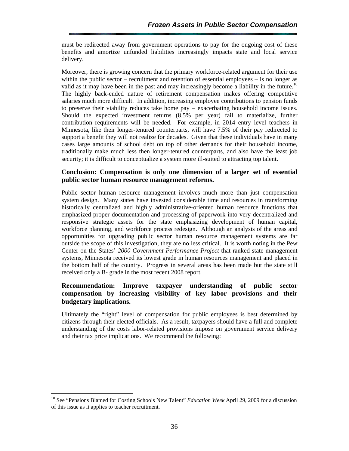must be redirected away from government operations to pay for the ongoing cost of these benefits and amortize unfunded liabilities increasingly impacts state and local service delivery.

Moreover, there is growing concern that the primary workforce-related argument for their use within the public sector – recruitment and retention of essential employees – is no longer as valid as it may have been in the past and may increasingly become a liability in the future.<sup>18</sup> The highly back-ended nature of retirement compensation makes offering competitive salaries much more difficult. In addition, increasing employee contributions to pension funds to preserve their viability reduces take home pay – exacerbating household income issues. Should the expected investment returns (8.5% per year) fail to materialize, further contribution requirements will be needed. For example, in 2014 entry level teachers in Minnesota, like their longer-tenured counterparts, will have 7.5% of their pay redirected to support a benefit they will not realize for decades. Given that these individuals have in many cases large amounts of school debt on top of other demands for their household income, traditionally make much less then longer-tenured counterparts, and also have the least job security; it is difficult to conceptualize a system more ill-suited to attracting top talent.

# **Conclusion: Compensation is only one dimension of a larger set of essential public sector human resource management reforms.**

Public sector human resource management involves much more than just compensation system design. Many states have invested considerable time and resources in transforming historically centralized and highly administrative-oriented human resource functions that emphasized proper documentation and processing of paperwork into very decentralized and responsive strategic assets for the state emphasizing development of human capital, workforce planning, and workforce process redesign. Although an analysis of the areas and opportunities for upgrading public sector human resource management systems are far outside the scope of this investigation, they are no less critical. It is worth noting in the Pew Center on the States' *2000 Government Performance Project* that ranked state management systems, Minnesota received its lowest grade in human resources management and placed in the bottom half of the country. Progress in several areas has been made but the state still received only a B- grade in the most recent 2008 report.

# **Recommendation: Improve taxpayer understanding of public sector compensation by increasing visibility of key labor provisions and their budgetary implications.**

Ultimately the "right" level of compensation for public employees is best determined by citizens through their elected officials. As a result, taxpayers should have a full and complete understanding of the costs labor-related provisions impose on government service delivery and their tax price implications. We recommend the following:

<sup>18</sup> See "Pensions Blamed for Costing Schools New Talent" *Education Week* April 29, 2009 for a discussion of this issue as it applies to teacher recruitment.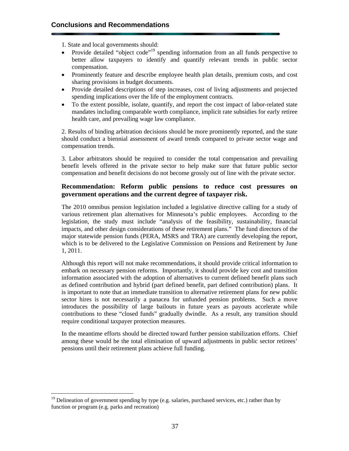- 1. State and local governments should:
- Provide detailed "object code"<sup>19</sup> spending information from an all funds perspective to better allow taxpayers to identify and quantify relevant trends in public sector compensation.
- Prominently feature and describe employee health plan details, premium costs, and cost sharing provisions in budget documents.
- Provide detailed descriptions of step increases, cost of living adjustments and projected spending implications over the life of the employment contracts.
- To the extent possible, isolate, quantify, and report the cost impact of labor-related state mandates including comparable worth compliance, implicit rate subsidies for early retiree health care, and prevailing wage law compliance.

2. Results of binding arbitration decisions should be more prominently reported, and the state should conduct a biennial assessment of award trends compared to private sector wage and compensation trends.

3. Labor arbitrators should be required to consider the total compensation and prevailing benefit levels offered in the private sector to help make sure that future public sector compensation and benefit decisions do not become grossly out of line with the private sector.

# **Recommendation: Reform public pensions to reduce cost pressures on government operations and the current degree of taxpayer risk.**

The 2010 omnibus pension legislation included a legislative directive calling for a study of various retirement plan alternatives for Minnesota's public employees. According to the legislation, the study must include "analysis of the feasibility, sustainability, financial impacts, and other design considerations of these retirement plans." The fund directors of the major statewide pension funds (PERA, MSRS and TRA) are currently developing the report, which is to be delivered to the Legislative Commission on Pensions and Retirement by June 1, 2011.

Although this report will not make recommendations, it should provide critical information to embark on necessary pension reforms. Importantly, it should provide key cost and transition information associated with the adoption of alternatives to current defined benefit plans such as defined contribution and hybrid (part defined benefit, part defined contribution) plans. It is important to note that an immediate transition to alternative retirement plans for new public sector hires is not necessarily a panacea for unfunded pension problems. Such a move introduces the possibility of large bailouts in future years as payouts accelerate while contributions to these "closed funds" gradually dwindle. As a result, any transition should require conditional taxpayer protection measures.

In the meantime efforts should be directed toward further pension stabilization efforts. Chief among these would be the total elimination of upward adjustments in public sector retirees' pensions until their retirement plans achieve full funding.

<sup>&</sup>lt;sup>19</sup> Delineation of government spending by type (e.g. salaries, purchased services, etc.) rather than by function or program (e.g. parks and recreation)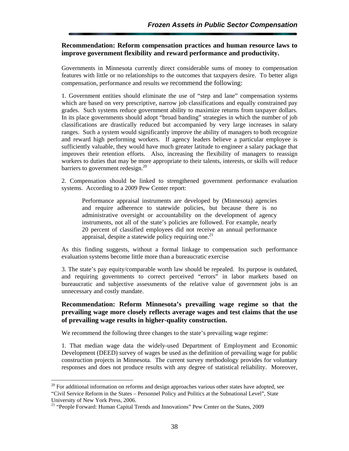# **Recommendation: Reform compensation practices and human resource laws to improve government flexibility and reward performance and productivity.**

Governments in Minnesota currently direct considerable sums of money to compensation features with little or no relationships to the outcomes that taxpayers desire. To better align compensation, performance and results we recommend the following:

1. Government entities should eliminate the use of "step and lane" compensation systems which are based on very prescriptive, narrow job classifications and equally constrained pay grades. Such systems reduce government ability to maximize returns from taxpayer dollars. In its place governments should adopt "broad banding" strategies in which the number of job classifications are drastically reduced but accompanied by very large increases in salary ranges. Such a system would significantly improve the ability of managers to both recognize and reward high performing workers. If agency leaders believe a particular employee is sufficiently valuable, they would have much greater latitude to engineer a salary package that improves their retention efforts. Also, increasing the flexibility of managers to reassign workers to duties that may be more appropriate to their talents, interests, or skills will reduce barriers to government redesign.<sup>20</sup>

2. Compensation should be linked to strengthened government performance evaluation systems. According to a 2009 Pew Center report:

Performance appraisal instruments are developed by (Minnesota) agencies and require adherence to statewide policies, but because there is no administrative oversight or accountability on the development of agency instruments, not all of the state's policies are followed. For example, nearly 20 percent of classified employees did not receive an annual performance appraisal, despite a statewide policy requiring one. $21$ 

As this finding suggests, without a formal linkage to compensation such performance evaluation systems become little more than a bureaucratic exercise

3. The state's pay equity/comparable worth law should be repealed. Its purpose is outdated, and requiring governments to correct perceived "errors" in labor markets based on bureaucratic and subjective assessments of the relative value of government jobs is an unnecessary and costly mandate.

# **Recommendation: Reform Minnesota's prevailing wage regime so that the prevailing wage more closely reflects average wages and test claims that the use of prevailing wage results in higher-quality construction.**

We recommend the following three changes to the state's prevailing wage regime:

1. That median wage data the widely-used Department of Employment and Economic Development (DEED) survey of wages be used as the definition of prevailing wage for public construction projects in Minnesota. The current survey methodology provides for voluntary responses and does not produce results with any degree of statistical reliability. Moreover,

 $20$  For additional information on reforms and design approaches various other states have adopted, see "Civil Service Reform in the States – Personnel Policy and Politics at the Subnational Level", State University of New York Press, 2006.

<sup>&</sup>lt;sup>21</sup> "People Forward: Human Capital Trends and Innovations" Pew Center on the States, 2009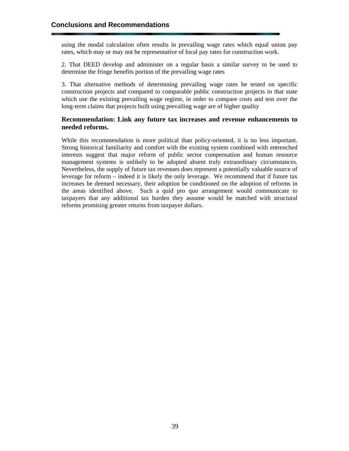using the modal calculation often results in prevailing wage rates which equal union pay rates, which may or may not be representative of local pay rates for construction work.

2. That DEED develop and administer on a regular basis a similar survey to be used to determine the fringe benefits portion of the prevailing wage rates

3. That alternative methods of determining prevailing wage rates be tested on specific construction projects and compared to comparable public construction projects in that state which use the existing prevailing wage regime, in order to compare costs and test over the long-term claims that projects built using prevailing wage are of higher quality

## **Recommendation: Link any future tax increases and revenue enhancements to needed reforms.**

While this recommendation is more political than policy-oriented, it is no less important. Strong historical familiarity and comfort with the existing system combined with entrenched interests suggest that major reform of public sector compensation and human resource management systems is unlikely to be adopted absent truly extraordinary circumstances. Nevertheless, the supply of future tax revenues does represent a potentially valuable source of leverage for reform – indeed it is likely the only leverage. We recommend that if future tax increases be deemed necessary, their adoption be conditioned on the adoption of reforms in the areas identified above. Such a quid pro quo arrangement would communicate to taxpayers that any additional tax burden they assume would be matched with structural reforms promising greater returns from taxpayer dollars.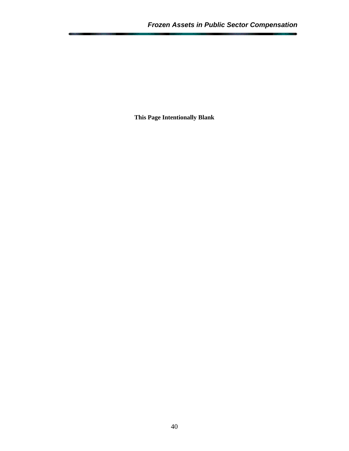**This Page Intentionally Blank**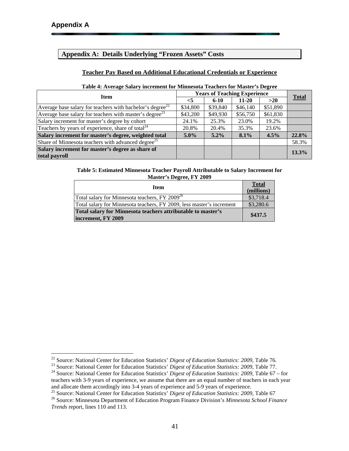# **Appendix A: Details Underlying "Frozen Assets" Costs**

## **Teacher Pay Based on Additional Educational Credentials or Experience**

| Table 4: Average Salary increment for Minnesota Teachers for Master's Degree |  |
|------------------------------------------------------------------------------|--|
|------------------------------------------------------------------------------|--|

| <b>Item</b>                                                           | <b>Years of Teaching Experience</b> |          |           |          | <b>Total</b> |
|-----------------------------------------------------------------------|-------------------------------------|----------|-----------|----------|--------------|
|                                                                       | $<$ 5                               | $6 - 10$ | $11 - 20$ | >20      |              |
| Average base salary for teachers with bachelor's degree <sup>22</sup> | \$34,800                            | \$39,840 | \$46,140  | \$51,890 |              |
| Average base salary for teachers with master's degree <sup>23</sup>   | \$43,200                            | \$49,930 | \$56,750  | \$61,830 |              |
| Salary increment for master's degree by cohort                        | 24.1%                               | 25.3%    | 23.0%     | 19.2%    |              |
| Teachers by years of experience, share of total <sup>24</sup>         | 20.8%                               | 20.4%    | 35.3%     | 23.6%    |              |
| Salary increment for master's degree, weighted total                  | $5.0\%$                             | $5.2\%$  | 8.1%      | 4.5%     | 22.8%        |
| Share of Minnesota teachers with advanced degree <sup>25</sup>        |                                     |          |           |          | 58.3%        |
| Salary increment for master's degree as share of                      |                                     |          |           |          | 13.3%        |
| total payroll                                                         |                                     |          |           |          |              |

#### **Table 5: Estimated Minnesota Teacher Payroll Attributable to Salary Increment for Master's Degree, FY 2009**

| <b>Item</b>                                                                        | <b>Total</b><br>(millions) |
|------------------------------------------------------------------------------------|----------------------------|
| Total salary for Minnesota teachers, FY 2009 <sup>26</sup>                         | \$3,718.4                  |
| Total salary for Minnesota teachers, FY 2009, less master's increment              | \$3,280.6                  |
| Total salary for Minnesota teachers attributable to master's<br>increment, FY 2009 | \$437.5                    |

<sup>&</sup>lt;sup>22</sup> Source: National Center for Education Statistics' Digest of Education Statistics: 2009, Table 76.

<sup>&</sup>lt;sup>23</sup> Source: National Center for Education Statistics' Digest of Education Statistics: 2009, Table 77.<br><sup>24</sup> Source: National Center for Education Statistics' Digest of Education Statistics: 2009, Table 67 – for teachers with 3-9 years of experience, we assume that there are an equal number of teachers in each year and allocate them accordingly into 3-4 years of experience and 5-9 years of experience.

<sup>&</sup>lt;sup>25</sup> Source: National Center for Education Statistics' Digest of Education Statistics: 2009, Table 67<br><sup>26</sup> Source: Minnesota Department of Education Program Finance Division's Minnesota School Finance

*Trends* report, lines 110 and 113.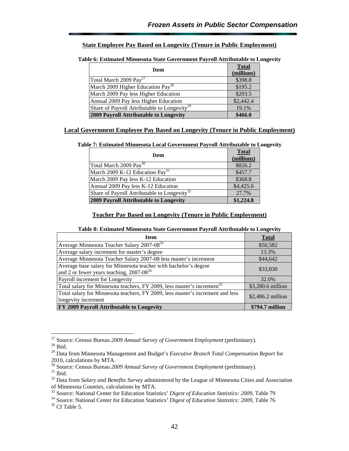# **State Employee Pay Based on Longevity (Tenure in Public Employment)**

| Table 6: Estimated Minnesota State Government Payroll Attributable to Longevity |  |
|---------------------------------------------------------------------------------|--|
|---------------------------------------------------------------------------------|--|

| <b>Item</b>                                              | <b>Total</b><br>(millions) |
|----------------------------------------------------------|----------------------------|
| Total March 2009 Pay <sup>27</sup>                       | \$398.8                    |
| March 2009 Higher Education Pay <sup>28</sup>            | \$195.2                    |
| March 2009 Pay less Higher Education                     | \$203.5                    |
| Annual 2009 Pay less Higher Education                    | \$2,442.4                  |
| Share of Payroll Attributable to Longevity <sup>29</sup> | 19.1%                      |
| 2009 Payroll Attributable to Longevity                   | \$466.0                    |

#### **Local Government Employee Pay Based on Longevity (Tenure in Public Employment)**

**Table 7: Estimated Minnesota Local Government Payroll Attributable to Longevity** 

| <b>Item</b>                                              | <b>Total</b><br>(millions) |
|----------------------------------------------------------|----------------------------|
| Total March 2009 Pay <sup>30</sup>                       | \$826.2                    |
| March 2009 K-12 Education $Pay31$                        | \$457.7                    |
| March 2009 Pay less K-12 Education                       | \$368.8                    |
| Annual 2009 Pay less K-12 Education                      | \$4,425.6                  |
| Share of Payroll Attributable to Longevity <sup>32</sup> | 27.7%                      |
| 2009 Payroll Attributable to Longevity                   | \$1,224.8                  |

#### **Teacher Pay Based on Longevity (Tenure in Public Employment)**

#### **Table 8: Estimated Minnesota State Government Payroll Attributable to Longevity**

| <b>Item</b>                                                                                                       | <b>Total</b>       |
|-------------------------------------------------------------------------------------------------------------------|--------------------|
| Average Minnesota Teacher Salary 2007-08 <sup>33</sup>                                                            | \$50,582           |
| Average salary increment for master's degree                                                                      | 13.3%              |
| Average Minnesota Teacher Salary 2007-08 less master's increment                                                  | \$44,642           |
| Average base salary for Minnesota teacher with bachelor's degree<br>and 2 or fewer years teaching, $2007-08^{34}$ | \$33,830           |
| Payroll increment for Longevity                                                                                   | 32.0%              |
| Total salary for Minnesota teachers, FY 2009, less master's increment <sup>35</sup>                               | \$3,280.6 million  |
| Total salary for Minnesota teachers, FY 2009, less master's increment and less<br>longevity increment             | $$2,486.2$ million |
| FY 2009 Payroll Attributable to Longevity                                                                         | \$794.7 million    |

<sup>&</sup>lt;sup>27</sup> Source: Census Bureau *2009 Annual Survey of Government Employment* (preliminary).<br><sup>28</sup> Ibid.

<sup>29</sup> Data from Minnesota Management and Budget's *Executive Branch Total Compensation Report* for 2010, calculations by MTA.

<sup>&</sup>lt;sup>30</sup> Source: Census Bureau *2009 Annual Survey of Government Employment* (preliminary).<br><sup>31</sup> Ibid

<sup>&</sup>lt;sup>32</sup> Data from *Salary and Benefits Survey* administered by the League of Minnesota Cities and Association of Minnesota Counties, calculations by MTA.<br>
<sup>33</sup> Source: National Center for Education Statistics' Digest of Education Statistics: 2009, Table 79

<sup>&</sup>lt;sup>34</sup> Source: National Center for Education Statistics' Digest of Education Statistics: 2009, Table 76<br><sup>35</sup> Cf Table 5.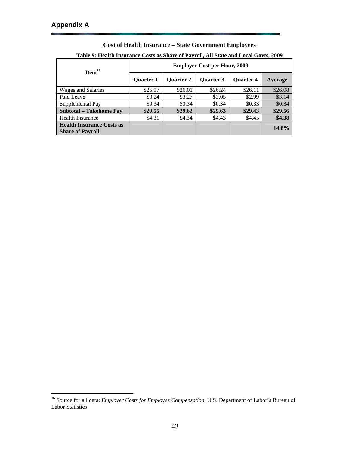$\overline{a}$ 

| Table 9: Health Insurance Costs as Share of Payroll, All State and Local Govts, 2009 |                                     |                  |                  |                  |         |
|--------------------------------------------------------------------------------------|-------------------------------------|------------------|------------------|------------------|---------|
| $Item^{36}$                                                                          | <b>Employer Cost per Hour, 2009</b> |                  |                  |                  |         |
|                                                                                      | <b>Ouarter 1</b>                    | <b>Ouarter 2</b> | <b>Ouarter 3</b> | <b>Ouarter 4</b> | Average |
| <b>Wages and Salaries</b>                                                            | \$25.97                             | \$26.01          | \$26.24          | \$26.11          | \$26.08 |
| Paid Leave                                                                           | \$3.24                              | \$3.27           | \$3.05           | \$2.99           | \$3.14  |
| Supplemental Pay                                                                     | \$0.34                              | \$0.34           | \$0.34           | \$0.33           | \$0.34  |
| <b>Subtotal – Takehome Pay</b>                                                       | \$29.55                             | \$29.62          | \$29.63          | \$29.43          | \$29.56 |
| Health Insurance                                                                     | \$4.31                              | \$4.34           | \$4.43           | \$4.45           | \$4.38  |
| <b>Health Insurance Costs as</b><br><b>Share of Payroll</b>                          |                                     |                  |                  |                  | 14.8%   |

# **Cost of Health Insurance – State Government Employees**

<sup>36</sup> Source for all data: *Employer Costs for Employee Compensation*, U.S. Department of Labor's Bureau of Labor Statistics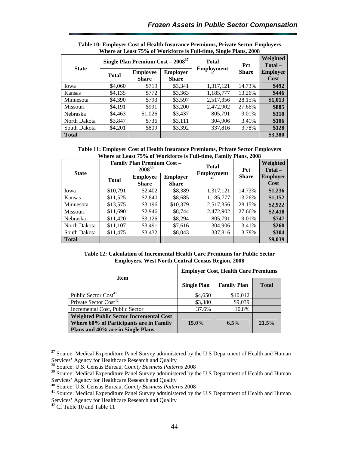| Where at Least 75% of Workforce is Full-time, Single Plans, 2008 |              |                                        |                                 |                   |              |                         |
|------------------------------------------------------------------|--------------|----------------------------------------|---------------------------------|-------------------|--------------|-------------------------|
|                                                                  |              | Single Plan Premium $Cost - 2008^{37}$ |                                 | <b>Total</b>      | <b>Pct</b>   | Weighted<br>Total-      |
| <b>State</b>                                                     | <b>Total</b> | <b>Employee</b><br><b>Share</b>        | <b>Employer</b><br><b>Share</b> | <b>Employment</b> | <b>Share</b> | <b>Employer</b><br>Cost |
| Iowa                                                             | \$4,060      | \$719                                  | \$3,341                         | 1,317,121         | 14.73%       | \$492                   |
| Kansas                                                           | \$4,135      | \$772                                  | \$3,363                         | 1,185,777         | 13.26%       | \$446                   |
| Minnesota                                                        | \$4,390      | \$793                                  | \$3,597                         | 2,517,356         | 28.15%       | \$1,013                 |
| Missouri                                                         | \$4.191      | \$991                                  | \$3,200                         | 2,472,902         | 27.66%       | \$885                   |
| Nebraska                                                         | \$4,463      | \$1,026                                | \$3,437                         | 805,791           | 9.01%        | \$310                   |
| North Dakota                                                     | \$3,847      | \$736                                  | \$3,111                         | 304,906           | 3.41%        | \$106                   |
| South Dakota                                                     | \$4,201      | \$809                                  | \$3,392                         | 337,816           | 3.78%        | \$128                   |
| <b>Total</b>                                                     |              |                                        |                                 |                   |              | \$3,380                 |

**Table 10: Employer Cost of Health Insurance Premiums, Private Sector Employers Where at TEO** of Workforce is Full-time,

**Table 11: Employer Cost of Health Insurance Premiums, Private Sector Employers Where at Least 75% of Workforce is Full-time, Family Plans, 2008** 

| <b>State</b> |                                                                                                         | <b>Family Plan Premium Cost -</b><br><b>Total</b><br>200839<br>Pct |                         |           | Weighted<br>$Total -$ |         |
|--------------|---------------------------------------------------------------------------------------------------------|--------------------------------------------------------------------|-------------------------|-----------|-----------------------|---------|
|              | <b>Employment</b><br><b>Employer</b><br><b>Employee</b><br><b>Total</b><br><b>Share</b><br><b>Share</b> | <b>Share</b>                                                       | <b>Employer</b><br>Cost |           |                       |         |
| Iowa         | \$10,791                                                                                                | \$2,402                                                            | \$8,389                 | 1,317,121 | 14.73%                | \$1,236 |
| Kansas       | \$11,525                                                                                                | \$2,840                                                            | \$8,685                 | 1,185,777 | 13.26%                | \$1,152 |
| Minnesota    | \$13,575                                                                                                | \$3,196                                                            | \$10,379                | 2,517,356 | 28.15%                | \$2,922 |
| Missouri     | \$11,690                                                                                                | \$2.946                                                            | \$8,744                 | 2,472,902 | 27.66%                | \$2,418 |
| Nebraska     | \$11,420                                                                                                | \$3,126                                                            | \$8,294                 | 805,791   | 9.01%                 | \$747   |
| North Dakota | \$11,107                                                                                                | \$3,491                                                            | \$7,616                 | 304,906   | 3.41%                 | \$260   |
| South Dakota | \$11,475                                                                                                | \$3,432                                                            | \$8,043                 | 337,816   | 3.78%                 | \$304   |
| <b>Total</b> |                                                                                                         |                                                                    |                         |           |                       | \$9,039 |

**Table 12: Calculation of Incremental Health Care Premiums for Public Sector Employers, West North Central Census Region, 2008** 

| <b>Item</b>                                                                                                                    | <b>Employer Cost, Health Care Premiums</b> |                    |              |  |
|--------------------------------------------------------------------------------------------------------------------------------|--------------------------------------------|--------------------|--------------|--|
|                                                                                                                                | <b>Single Plan</b>                         | <b>Family Plan</b> | <b>Total</b> |  |
| Public Sector Cost <sup>41</sup>                                                                                               | \$4,650                                    | \$10,012           |              |  |
| Private Sector Cost <sup>42</sup>                                                                                              | \$3,380                                    | \$9,039            |              |  |
| Incremental Cost, Public Sector                                                                                                | 37.6%                                      | 10.8%              |              |  |
| <b>Weighted Public Sector Incremental Cost</b><br>Where 60% of Participants are in Family<br>Plans and 40% are in Single Plans | $15.0\%$                                   | $6.5\%$            | 21.5%        |  |

 $37$  Source: Medical Expenditure Panel Survey administered by the U.S Department of Health and Human Services' Agency for Healthcare Research and Quality

<sup>38</sup> Source: U.S. Census Bureau, *County Business Patterns* 2008

<sup>&</sup>lt;sup>39</sup> Source: Medical Expenditure Panel Survey administered by the U.S Department of Health and Human Services' Agency for Healthcare Research and Quality<br>
<sup>40</sup> Source: U.S. Census Bureau, *County Business Patterns* 2008

<sup>&</sup>lt;sup>41</sup> Source: Medical Expenditure Panel Survey administered by the U.S Department of Health and Human Services' Agency for Healthcare Research and Quality

<sup>&</sup>lt;sup>42</sup> Cf Table 10 and Table 11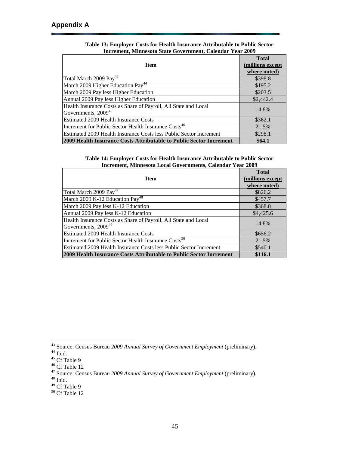| nici chiche, htmlhosofu state Go (crimiche, cuichuar Te                                            |                                                  |  |  |  |
|----------------------------------------------------------------------------------------------------|--------------------------------------------------|--|--|--|
| <b>Item</b>                                                                                        | <b>Total</b><br>(millions except<br>where noted) |  |  |  |
| Total March 2009 Pay <sup>43</sup>                                                                 | \$398.8                                          |  |  |  |
| March 2009 Higher Education Pay <sup>44</sup>                                                      | \$195.2                                          |  |  |  |
| March 2009 Pay less Higher Education                                                               | \$203.5                                          |  |  |  |
| Annual 2009 Pay less Higher Education                                                              | \$2,442.4                                        |  |  |  |
| Health Insurance Costs as Share of Payroll, All State and Local<br>Governments, 2009 <sup>45</sup> | 14.8%                                            |  |  |  |
| Estimated 2009 Health Insurance Costs                                                              | \$362.1                                          |  |  |  |
| Increment for Public Sector Health Insurance Costs <sup>46</sup>                                   | 21.5%                                            |  |  |  |
| Estimated 2009 Health Insurance Costs less Public Sector Increment                                 | \$298.1                                          |  |  |  |
| 2009 Health Insurance Costs Attributable to Public Sector Increment                                | \$64.1                                           |  |  |  |

| Table 13: Employer Costs for Health Insurance Attributable to Public Sector |
|-----------------------------------------------------------------------------|
| <b>Increment, Minnesota State Government, Calendar Year 2009</b>            |

#### **Table 14: Employer Costs for Health Insurance Attributable to Public Sector Increment, Minnesota Local Governments, Calendar Year 2009**

| <b>Item</b>                                                                                        | <b>Total</b><br>(millions except<br>where noted) |
|----------------------------------------------------------------------------------------------------|--------------------------------------------------|
| Total March 2009 Pay <sup>47</sup>                                                                 | \$826.2                                          |
| March 2009 K-12 Education Pay <sup>48</sup>                                                        | \$457.7                                          |
| March 2009 Pay less K-12 Education                                                                 | \$368.8                                          |
| Annual 2009 Pay less K-12 Education                                                                | \$4,425.6                                        |
| Health Insurance Costs as Share of Payroll, All State and Local<br>Governments, 2009 <sup>49</sup> | 14.8%                                            |
| <b>Estimated 2009 Health Insurance Costs</b>                                                       | \$656.2                                          |
| Increment for Public Sector Health Insurance Costs <sup>50</sup>                                   | 21.5%                                            |
| Estimated 2009 Health Insurance Costs less Public Sector Increment                                 | \$540.1                                          |
| 2009 Health Insurance Costs Attributable to Public Sector Increment                                | \$116.1                                          |

<sup>&</sup>lt;sup>43</sup> Source: Census Bureau *2009 Annual Survey of Government Employment* (preliminary).<br><sup>44</sup> Ibid.

<sup>&</sup>lt;sup>45</sup> Cf Table 9

<sup>&</sup>lt;sup>46</sup> Cf Table 12

<sup>&</sup>lt;sup>47</sup> Source: Census Bureau *2009 Annual Survey of Government Employment* (preliminary).<br><sup>48</sup> Ibid.

 $^{48}$  Ibid.<br> $^{49}$  Cf Table 9

 $50$  Cf Table 12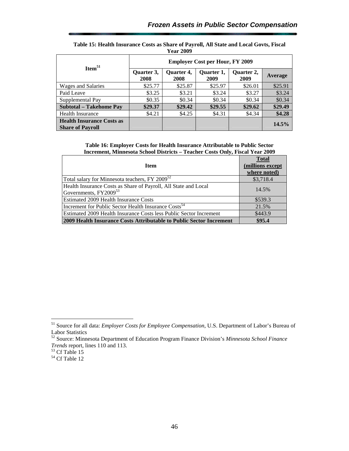|                                                             |                                        | 1 VUL 2007                |                           |                           |         |
|-------------------------------------------------------------|----------------------------------------|---------------------------|---------------------------|---------------------------|---------|
| Item <sup>51</sup>                                          | <b>Employer Cost per Hour, FY 2009</b> |                           |                           |                           |         |
|                                                             | <b>Ouarter 3.</b><br>2008              | <b>Ouarter 4,</b><br>2008 | <b>Ouarter 1,</b><br>2009 | <b>Ouarter 2,</b><br>2009 | Average |
| Wages and Salaries                                          | \$25.77                                | \$25.87                   | \$25.97                   | \$26.01                   | \$25.91 |
| Paid Leave                                                  | \$3.25                                 | \$3.21                    | \$3.24                    | \$3.27                    | \$3.24  |
| Supplemental Pay                                            | \$0.35                                 | \$0.34                    | \$0.34                    | \$0.34                    | \$0.34  |
| <b>Subtotal – Takehome Pay</b>                              | \$29.37                                | \$29.42                   | \$29.55                   | \$29.62                   | \$29.49 |
| <b>Health Insurance</b>                                     | \$4.21                                 | \$4.25                    | \$4.31                    | \$4.34                    | \$4.28  |
| <b>Health Insurance Costs as</b><br><b>Share of Payroll</b> |                                        |                           |                           |                           | 14.5%   |

#### **Table 15: Health Insurance Costs as Share of Payroll, All State and Local Govts, Fiscal Year 2009**

#### **Table 16: Employer Costs for Health Insurance Attributable to Public Sector Increment, Minnesota School Districts – Teacher Costs Only, Fiscal Year 2009**

| <b>Item</b>                                                                              | <b>Total</b><br>(millions except<br>where noted) |
|------------------------------------------------------------------------------------------|--------------------------------------------------|
| Total salary for Minnesota teachers, FY 2009 <sup>52</sup>                               | \$3,718.4                                        |
| Health Insurance Costs as Share of Payroll, All State and Local<br>Governments, FY200953 | 14.5%                                            |
| Estimated 2009 Health Insurance Costs                                                    | \$539.3                                          |
| Increment for Public Sector Health Insurance Costs <sup>54</sup>                         | 21.5%                                            |
| Estimated 2009 Health Insurance Costs less Public Sector Increment                       | \$443.9                                          |
| 2009 Health Insurance Costs Attributable to Public Sector Increment                      | \$95.4                                           |

<sup>54</sup> Cf Table 12

 $\overline{a}$ 51 Source for all data: *Employer Costs for Employee Compensation*, U.S. Department of Labor's Bureau of Labor Statistics

<sup>52</sup> Source: Minnesota Department of Education Program Finance Division's *Minnesota School Finance Trends* report, lines 110 and 113.<br><sup>53</sup> Cf Table 15